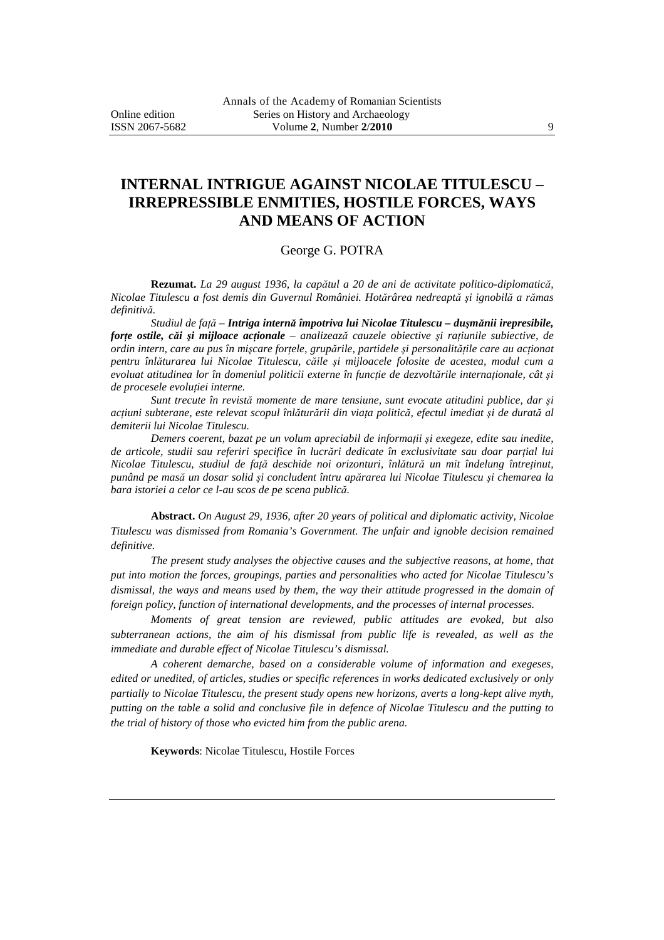# **INTERNAL INTRIGUE AGAINST NICOLAE TITULESCU – IRREPRESSIBLE ENMITIES, HOSTILE FORCES, WAYS AND MEANS OF ACTION**

#### George G. POTRA

**Rezumat.** *La 29 august 1936, la capătul a 20 de ani de activitate politico-diplomatică, Nicolae Titulescu a fost demis din Guvernul României. Hotărârea nedreaptă şi ignobilă a rămas definitivă.* 

*Studiul de faţă – Intriga internă împotriva lui Nicolae Titulescu – duşmănii irepresibile, forţe ostile, căi şi mijloace acţionale – analizează cauzele obiective şi raţiunile subiective, de ordin intern, care au pus în mişcare forţele, grupările, partidele şi personalităţile care au acţionat pentru înlăturarea lui Nicolae Titulescu, căile şi mijloacele folosite de acestea, modul cum a evoluat atitudinea lor în domeniul politicii externe în funcţie de dezvoltările internaţionale, cât şi de procesele evoluţiei interne.* 

*Sunt trecute în revistă momente de mare tensiune, sunt evocate atitudini publice, dar şi acţiuni subterane, este relevat scopul înlăturării din viaţa politică, efectul imediat şi de durată al demiterii lui Nicolae Titulescu.* 

*Demers coerent, bazat pe un volum apreciabil de informaţii şi exegeze, edite sau inedite, de articole, studii sau referiri specifice în lucrări dedicate în exclusivitate sau doar parţial lui Nicolae Titulescu, studiul de faţă deschide noi orizonturi, înlătură un mit îndelung întreţinut, punând pe masă un dosar solid şi concludent întru apărarea lui Nicolae Titulescu şi chemarea la bara istoriei a celor ce l-au scos de pe scena publică.* 

**Abstract.** *On August 29, 1936, after 20 years of political and diplomatic activity, Nicolae Titulescu was dismissed from Romania's Government. The unfair and ignoble decision remained definitive.* 

*The present study analyses the objective causes and the subjective reasons, at home, that put into motion the forces, groupings, parties and personalities who acted for Nicolae Titulescu's dismissal, the ways and means used by them, the way their attitude progressed in the domain of foreign policy, function of international developments, and the processes of internal processes.* 

*Moments of great tension are reviewed, public attitudes are evoked, but also subterranean actions, the aim of his dismissal from public life is revealed, as well as the immediate and durable effect of Nicolae Titulescu's dismissal.* 

*A coherent demarche, based on a considerable volume of information and exegeses, edited or unedited, of articles, studies or specific references in works dedicated exclusively or only partially to Nicolae Titulescu, the present study opens new horizons, averts a long-kept alive myth, putting on the table a solid and conclusive file in defence of Nicolae Titulescu and the putting to the trial of history of those who evicted him from the public arena.* 

**Keywords**: Nicolae Titulescu, Hostile Forces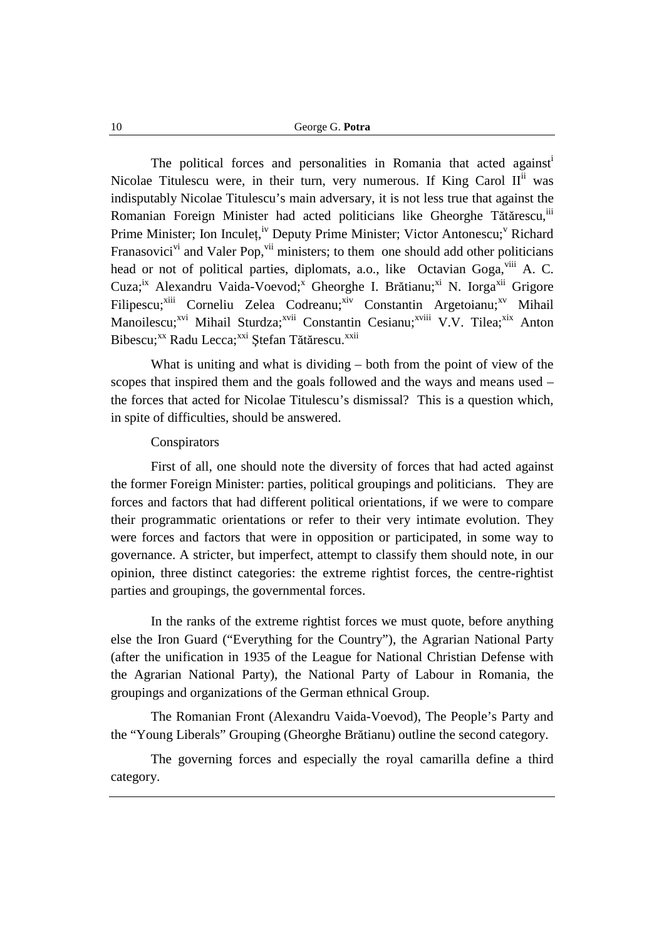The political forces and personalities in Romania that acted against<sup>i</sup> Nicolae Titulescu were, in their turn, very numerous. If King Carol II<sup>ii</sup> was indisputably Nicolae Titulescu's main adversary, it is not less true that against the Romanian Foreign Minister had acted politicians like Gheorghe Tătărescu, iii Prime Minister; Ion Inculeț,<sup>iv</sup> Deputy Prime Minister; Victor Antonescu;<sup>v</sup> Richard Franasovici<sup>vi</sup> and Valer Pop,  $\overline{v}$ <sup>ii</sup> ministers; to them one should add other politicians head or not of political parties, diplomats, a.o., like Octavian Goga,  $\frac{1}{11}$  A. C. Cuza;<sup>ix</sup> Alexandru Vaida-Voevod;<sup>x</sup> Gheorghe I. Brătianu;<sup>xi</sup> N. Iorga<sup>xii</sup> Grigore Filipescu;<sup>xiii</sup> Corneliu Zelea Codreanu;<sup>xiv</sup> Constantin Argetoianu;<sup>xv</sup> Mihail Manoilescu;<sup>xvi</sup> Mihail Sturdza;<sup>xvii</sup> Constantin Cesianu;<sup>xviii</sup> V.V. Tilea;<sup>xix</sup> Anton Bibescu;<sup>xx</sup> Radu Lecca;<sup>xxi</sup> Ștefan Tătărescu.<sup>xxii</sup>

What is uniting and what is dividing – both from the point of view of the scopes that inspired them and the goals followed and the ways and means used – the forces that acted for Nicolae Titulescu's dismissal? This is a question which, in spite of difficulties, should be answered.

### **Conspirators**

First of all, one should note the diversity of forces that had acted against the former Foreign Minister: parties, political groupings and politicians. They are forces and factors that had different political orientations, if we were to compare their programmatic orientations or refer to their very intimate evolution. They were forces and factors that were in opposition or participated, in some way to governance. A stricter, but imperfect, attempt to classify them should note, in our opinion, three distinct categories: the extreme rightist forces, the centre-rightist parties and groupings, the governmental forces.

In the ranks of the extreme rightist forces we must quote, before anything else the Iron Guard ("Everything for the Country"), the Agrarian National Party (after the unification in 1935 of the League for National Christian Defense with the Agrarian National Party), the National Party of Labour in Romania, the groupings and organizations of the German ethnical Group.

The Romanian Front (Alexandru Vaida-Voevod), The People's Party and the "Young Liberals" Grouping (Gheorghe Brătianu) outline the second category.

The governing forces and especially the royal camarilla define a third category.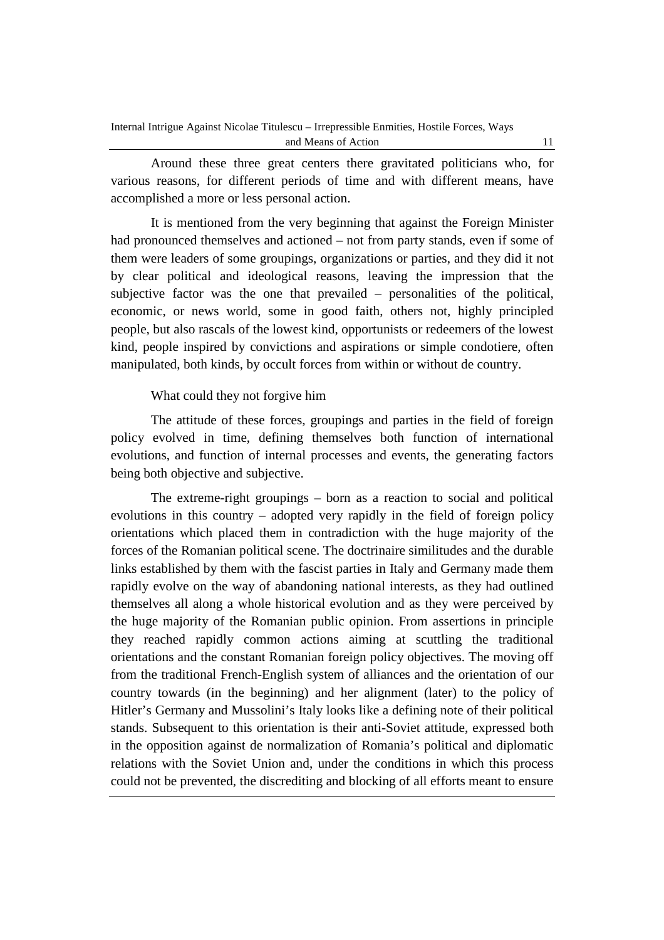Around these three great centers there gravitated politicians who, for various reasons, for different periods of time and with different means, have accomplished a more or less personal action.

It is mentioned from the very beginning that against the Foreign Minister had pronounced themselves and actioned – not from party stands, even if some of them were leaders of some groupings, organizations or parties, and they did it not by clear political and ideological reasons, leaving the impression that the subjective factor was the one that prevailed – personalities of the political, economic, or news world, some in good faith, others not, highly principled people, but also rascals of the lowest kind, opportunists or redeemers of the lowest kind, people inspired by convictions and aspirations or simple condotiere, often manipulated, both kinds, by occult forces from within or without de country.

# What could they not forgive him

The attitude of these forces, groupings and parties in the field of foreign policy evolved in time, defining themselves both function of international evolutions, and function of internal processes and events, the generating factors being both objective and subjective.

The extreme-right groupings – born as a reaction to social and political evolutions in this country – adopted very rapidly in the field of foreign policy orientations which placed them in contradiction with the huge majority of the forces of the Romanian political scene. The doctrinaire similitudes and the durable links established by them with the fascist parties in Italy and Germany made them rapidly evolve on the way of abandoning national interests, as they had outlined themselves all along a whole historical evolution and as they were perceived by the huge majority of the Romanian public opinion. From assertions in principle they reached rapidly common actions aiming at scuttling the traditional orientations and the constant Romanian foreign policy objectives. The moving off from the traditional French-English system of alliances and the orientation of our country towards (in the beginning) and her alignment (later) to the policy of Hitler's Germany and Mussolini's Italy looks like a defining note of their political stands. Subsequent to this orientation is their anti-Soviet attitude, expressed both in the opposition against de normalization of Romania's political and diplomatic relations with the Soviet Union and, under the conditions in which this process could not be prevented, the discrediting and blocking of all efforts meant to ensure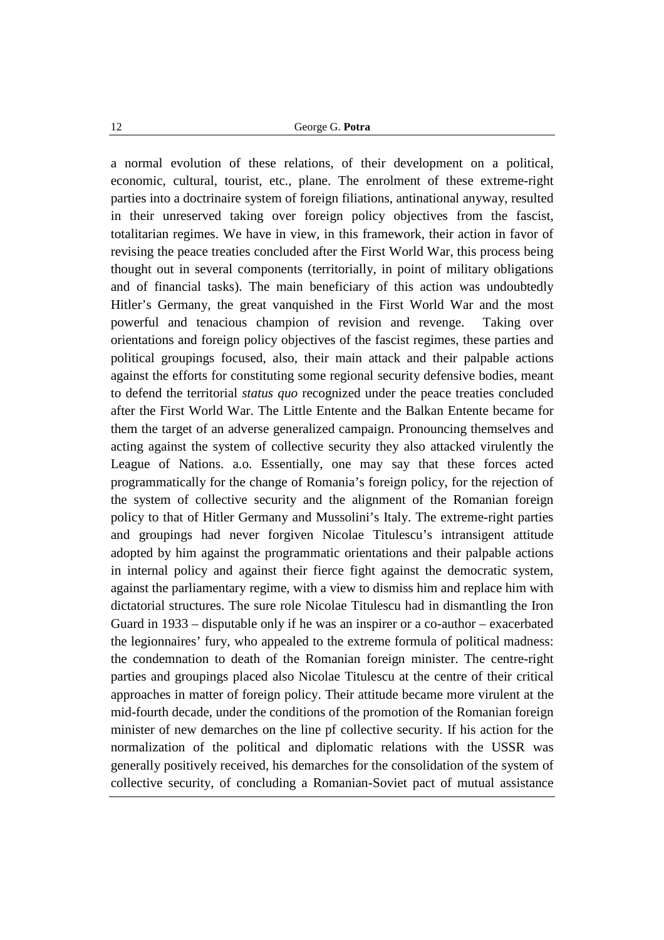a normal evolution of these relations, of their development on a political, economic, cultural, tourist, etc., plane. The enrolment of these extreme-right parties into a doctrinaire system of foreign filiations, antinational anyway, resulted in their unreserved taking over foreign policy objectives from the fascist, totalitarian regimes. We have in view, in this framework, their action in favor of revising the peace treaties concluded after the First World War, this process being thought out in several components (territorially, in point of military obligations and of financial tasks). The main beneficiary of this action was undoubtedly Hitler's Germany, the great vanquished in the First World War and the most powerful and tenacious champion of revision and revenge. Taking over orientations and foreign policy objectives of the fascist regimes, these parties and political groupings focused, also, their main attack and their palpable actions against the efforts for constituting some regional security defensive bodies, meant to defend the territorial *status quo* recognized under the peace treaties concluded after the First World War. The Little Entente and the Balkan Entente became for them the target of an adverse generalized campaign. Pronouncing themselves and acting against the system of collective security they also attacked virulently the League of Nations. a.o. Essentially, one may say that these forces acted programmatically for the change of Romania's foreign policy, for the rejection of the system of collective security and the alignment of the Romanian foreign policy to that of Hitler Germany and Mussolini's Italy. The extreme-right parties and groupings had never forgiven Nicolae Titulescu's intransigent attitude adopted by him against the programmatic orientations and their palpable actions in internal policy and against their fierce fight against the democratic system, against the parliamentary regime, with a view to dismiss him and replace him with dictatorial structures. The sure role Nicolae Titulescu had in dismantling the Iron Guard in 1933 – disputable only if he was an inspirer or a co-author – exacerbated the legionnaires' fury, who appealed to the extreme formula of political madness: the condemnation to death of the Romanian foreign minister. The centre-right parties and groupings placed also Nicolae Titulescu at the centre of their critical approaches in matter of foreign policy. Their attitude became more virulent at the mid-fourth decade, under the conditions of the promotion of the Romanian foreign minister of new demarches on the line pf collective security. If his action for the normalization of the political and diplomatic relations with the USSR was generally positively received, his demarches for the consolidation of the system of collective security, of concluding a Romanian-Soviet pact of mutual assistance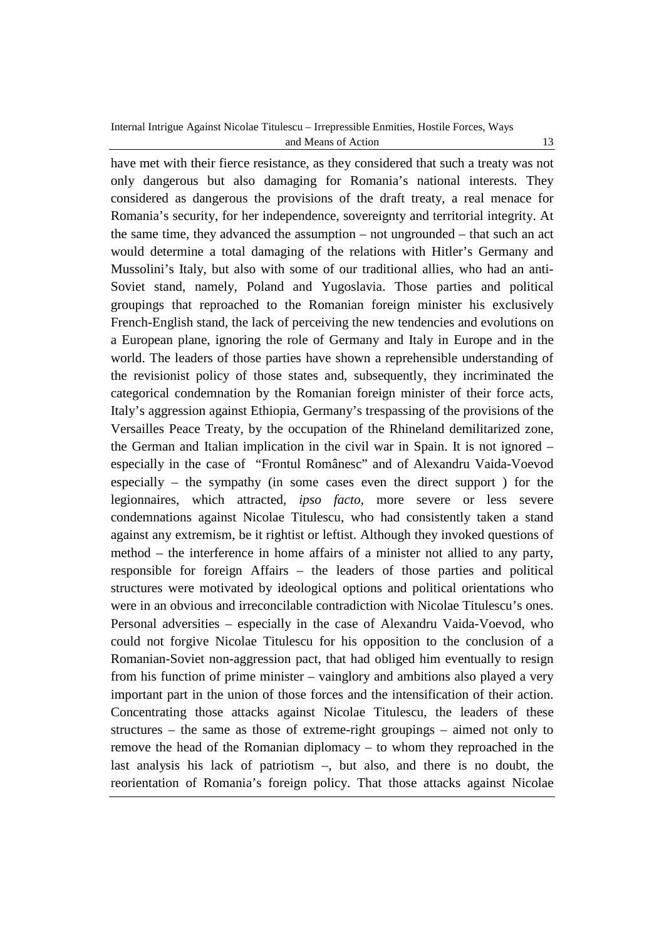have met with their fierce resistance, as they considered that such a treaty was not only dangerous but also damaging for Romania's national interests. They considered as dangerous the provisions of the draft treaty, a real menace for Romania's security, for her independence, sovereignty and territorial integrity. At the same time, they advanced the assumption – not ungrounded – that such an act would determine a total damaging of the relations with Hitler's Germany and Mussolini's Italy, but also with some of our traditional allies, who had an anti-Soviet stand, namely, Poland and Yugoslavia. Those parties and political groupings that reproached to the Romanian foreign minister his exclusively French-English stand, the lack of perceiving the new tendencies and evolutions on a European plane, ignoring the role of Germany and Italy in Europe and in the world. The leaders of those parties have shown a reprehensible understanding of the revisionist policy of those states and, subsequently, they incriminated the categorical condemnation by the Romanian foreign minister of their force acts, Italy's aggression against Ethiopia, Germany's trespassing of the provisions of the Versailles Peace Treaty, by the occupation of the Rhineland demilitarized zone, the German and Italian implication in the civil war in Spain. It is not ignored – especially in the case of "Frontul Românesc" and of Alexandru Vaida-Voevod especially – the sympathy (in some cases even the direct support ) for the legionnaires, which attracted, *ipso facto,* more severe or less severe condemnations against Nicolae Titulescu, who had consistently taken a stand against any extremism, be it rightist or leftist. Although they invoked questions of method – the interference in home affairs of a minister not allied to any party, responsible for foreign Affairs – the leaders of those parties and political structures were motivated by ideological options and political orientations who were in an obvious and irreconcilable contradiction with Nicolae Titulescu's ones. Personal adversities – especially in the case of Alexandru Vaida-Voevod, who could not forgive Nicolae Titulescu for his opposition to the conclusion of a Romanian-Soviet non-aggression pact, that had obliged him eventually to resign from his function of prime minister – vainglory and ambitions also played a very important part in the union of those forces and the intensification of their action. Concentrating those attacks against Nicolae Titulescu, the leaders of these structures – the same as those of extreme-right groupings – aimed not only to remove the head of the Romanian diplomacy – to whom they reproached in the last analysis his lack of patriotism –, but also, and there is no doubt, the reorientation of Romania's foreign policy. That those attacks against Nicolae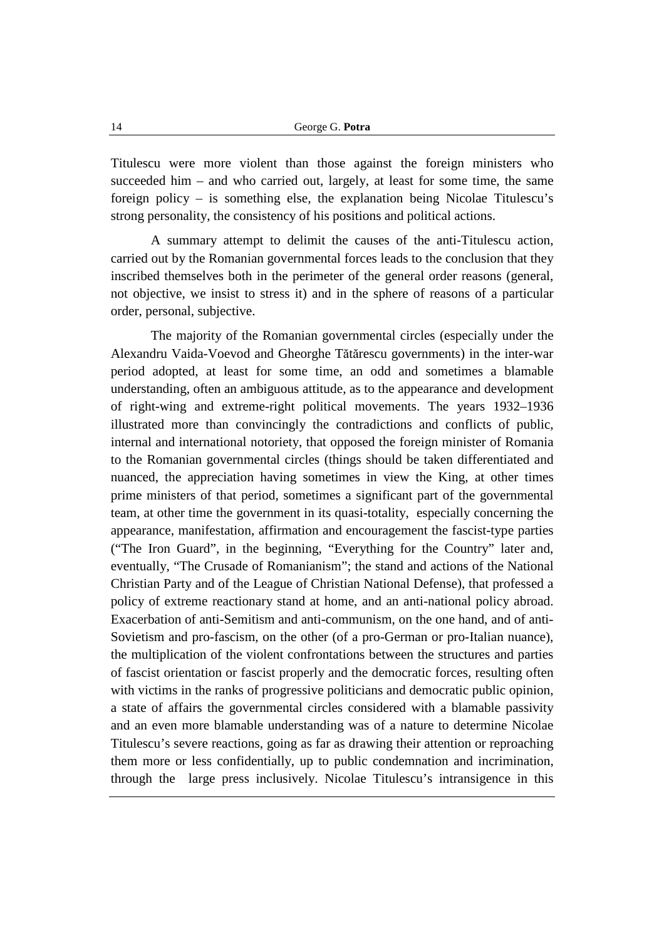Titulescu were more violent than those against the foreign ministers who succeeded him – and who carried out, largely, at least for some time, the same foreign policy – is something else, the explanation being Nicolae Titulescu's strong personality, the consistency of his positions and political actions.

A summary attempt to delimit the causes of the anti-Titulescu action, carried out by the Romanian governmental forces leads to the conclusion that they inscribed themselves both in the perimeter of the general order reasons (general, not objective, we insist to stress it) and in the sphere of reasons of a particular order, personal, subjective.

The majority of the Romanian governmental circles (especially under the Alexandru Vaida-Voevod and Gheorghe Tătărescu governments) in the inter-war period adopted, at least for some time, an odd and sometimes a blamable understanding, often an ambiguous attitude, as to the appearance and development of right-wing and extreme-right political movements. The years 1932–1936 illustrated more than convincingly the contradictions and conflicts of public, internal and international notoriety, that opposed the foreign minister of Romania to the Romanian governmental circles (things should be taken differentiated and nuanced, the appreciation having sometimes in view the King, at other times prime ministers of that period, sometimes a significant part of the governmental team, at other time the government in its quasi-totality, especially concerning the appearance, manifestation, affirmation and encouragement the fascist-type parties ("The Iron Guard", in the beginning, "Everything for the Country" later and, eventually, "The Crusade of Romanianism"; the stand and actions of the National Christian Party and of the League of Christian National Defense), that professed a policy of extreme reactionary stand at home, and an anti-national policy abroad. Exacerbation of anti-Semitism and anti-communism, on the one hand, and of anti-Sovietism and pro-fascism, on the other (of a pro-German or pro-Italian nuance), the multiplication of the violent confrontations between the structures and parties of fascist orientation or fascist properly and the democratic forces, resulting often with victims in the ranks of progressive politicians and democratic public opinion, a state of affairs the governmental circles considered with a blamable passivity and an even more blamable understanding was of a nature to determine Nicolae Titulescu's severe reactions, going as far as drawing their attention or reproaching them more or less confidentially, up to public condemnation and incrimination, through the large press inclusively. Nicolae Titulescu's intransigence in this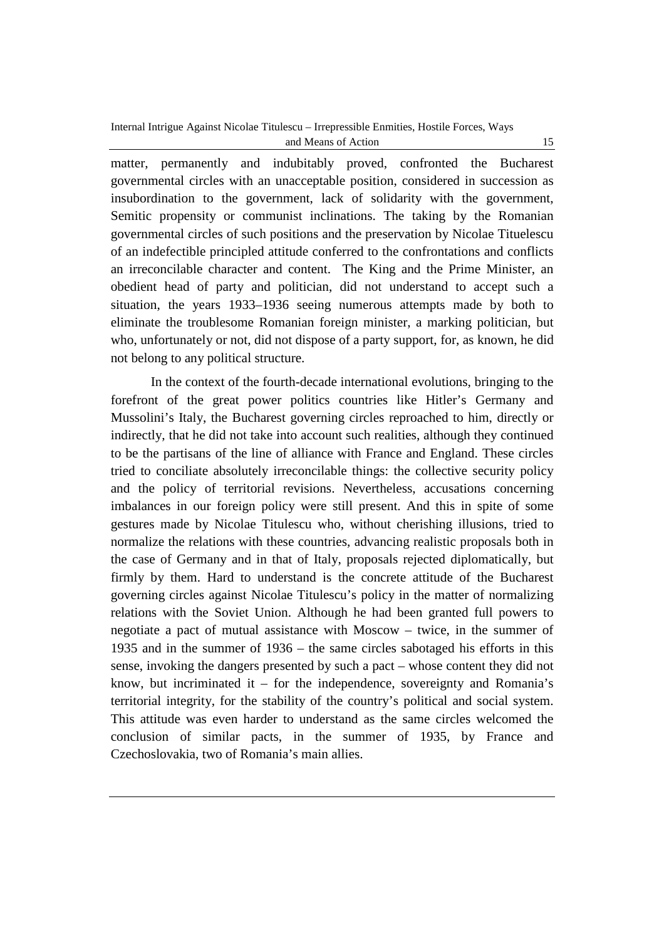matter, permanently and indubitably proved, confronted the Bucharest governmental circles with an unacceptable position, considered in succession as insubordination to the government, lack of solidarity with the government, Semitic propensity or communist inclinations. The taking by the Romanian governmental circles of such positions and the preservation by Nicolae Tituelescu of an indefectible principled attitude conferred to the confrontations and conflicts an irreconcilable character and content. The King and the Prime Minister, an obedient head of party and politician, did not understand to accept such a situation, the years 1933–1936 seeing numerous attempts made by both to eliminate the troublesome Romanian foreign minister, a marking politician, but who, unfortunately or not, did not dispose of a party support, for, as known, he did not belong to any political structure.

In the context of the fourth-decade international evolutions, bringing to the forefront of the great power politics countries like Hitler's Germany and Mussolini's Italy, the Bucharest governing circles reproached to him, directly or indirectly, that he did not take into account such realities, although they continued to be the partisans of the line of alliance with France and England. These circles tried to conciliate absolutely irreconcilable things: the collective security policy and the policy of territorial revisions. Nevertheless, accusations concerning imbalances in our foreign policy were still present. And this in spite of some gestures made by Nicolae Titulescu who, without cherishing illusions, tried to normalize the relations with these countries, advancing realistic proposals both in the case of Germany and in that of Italy, proposals rejected diplomatically, but firmly by them. Hard to understand is the concrete attitude of the Bucharest governing circles against Nicolae Titulescu's policy in the matter of normalizing relations with the Soviet Union. Although he had been granted full powers to negotiate a pact of mutual assistance with Moscow – twice, in the summer of 1935 and in the summer of 1936 – the same circles sabotaged his efforts in this sense, invoking the dangers presented by such a pact – whose content they did not know, but incriminated it – for the independence, sovereignty and Romania's territorial integrity, for the stability of the country's political and social system. This attitude was even harder to understand as the same circles welcomed the conclusion of similar pacts, in the summer of 1935, by France and Czechoslovakia, two of Romania's main allies.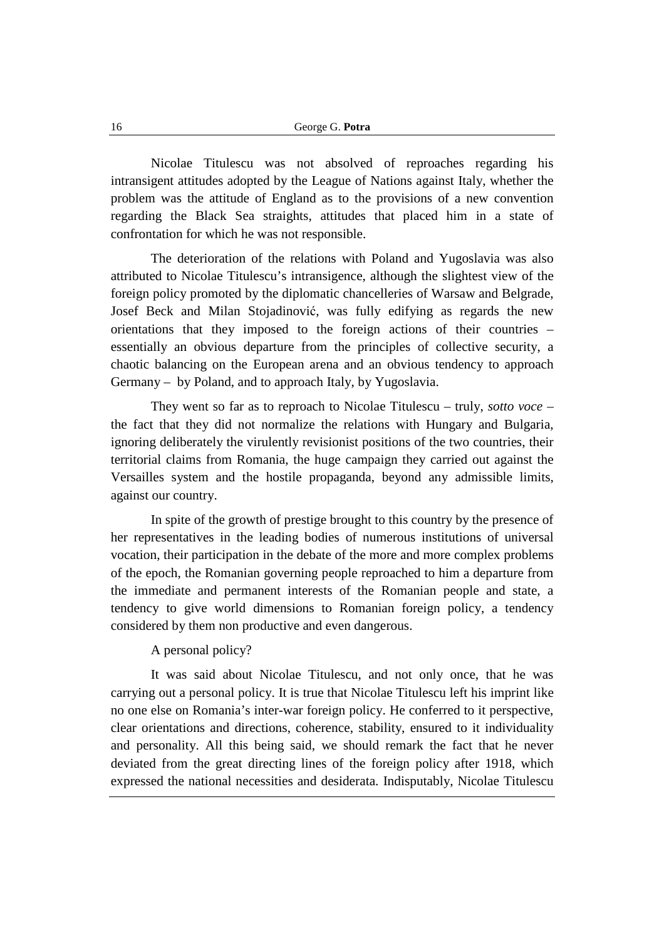Nicolae Titulescu was not absolved of reproaches regarding his intransigent attitudes adopted by the League of Nations against Italy, whether the problem was the attitude of England as to the provisions of a new convention regarding the Black Sea straights, attitudes that placed him in a state of confrontation for which he was not responsible.

The deterioration of the relations with Poland and Yugoslavia was also attributed to Nicolae Titulescu's intransigence, although the slightest view of the foreign policy promoted by the diplomatic chancelleries of Warsaw and Belgrade, Josef Beck and Milan Stojadinović, was fully edifying as regards the new orientations that they imposed to the foreign actions of their countries – essentially an obvious departure from the principles of collective security, a chaotic balancing on the European arena and an obvious tendency to approach Germany – by Poland, and to approach Italy, by Yugoslavia.

They went so far as to reproach to Nicolae Titulescu – truly, *sotto voce –* the fact that they did not normalize the relations with Hungary and Bulgaria, ignoring deliberately the virulently revisionist positions of the two countries, their territorial claims from Romania, the huge campaign they carried out against the Versailles system and the hostile propaganda, beyond any admissible limits, against our country.

In spite of the growth of prestige brought to this country by the presence of her representatives in the leading bodies of numerous institutions of universal vocation, their participation in the debate of the more and more complex problems of the epoch, the Romanian governing people reproached to him a departure from the immediate and permanent interests of the Romanian people and state, a tendency to give world dimensions to Romanian foreign policy, a tendency considered by them non productive and even dangerous.

# A personal policy?

It was said about Nicolae Titulescu, and not only once, that he was carrying out a personal policy. It is true that Nicolae Titulescu left his imprint like no one else on Romania's inter-war foreign policy. He conferred to it perspective, clear orientations and directions, coherence, stability, ensured to it individuality and personality. All this being said, we should remark the fact that he never deviated from the great directing lines of the foreign policy after 1918, which expressed the national necessities and desiderata. Indisputably, Nicolae Titulescu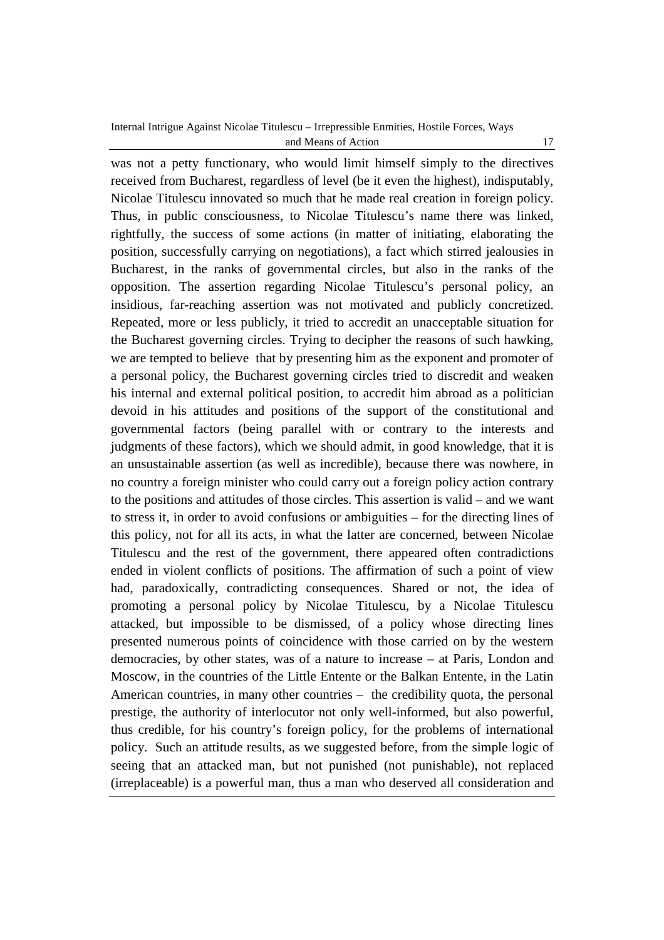was not a petty functionary, who would limit himself simply to the directives received from Bucharest, regardless of level (be it even the highest), indisputably, Nicolae Titulescu innovated so much that he made real creation in foreign policy. Thus, in public consciousness, to Nicolae Titulescu's name there was linked, rightfully, the success of some actions (in matter of initiating, elaborating the position, successfully carrying on negotiations), a fact which stirred jealousies in Bucharest, in the ranks of governmental circles, but also in the ranks of the opposition. The assertion regarding Nicolae Titulescu's personal policy, an insidious, far-reaching assertion was not motivated and publicly concretized. Repeated, more or less publicly, it tried to accredit an unacceptable situation for the Bucharest governing circles. Trying to decipher the reasons of such hawking, we are tempted to believe that by presenting him as the exponent and promoter of a personal policy, the Bucharest governing circles tried to discredit and weaken his internal and external political position, to accredit him abroad as a politician devoid in his attitudes and positions of the support of the constitutional and governmental factors (being parallel with or contrary to the interests and judgments of these factors), which we should admit, in good knowledge, that it is an unsustainable assertion (as well as incredible), because there was nowhere, in no country a foreign minister who could carry out a foreign policy action contrary to the positions and attitudes of those circles. This assertion is valid – and we want to stress it, in order to avoid confusions or ambiguities – for the directing lines of this policy, not for all its acts, in what the latter are concerned, between Nicolae Titulescu and the rest of the government, there appeared often contradictions ended in violent conflicts of positions. The affirmation of such a point of view had, paradoxically, contradicting consequences. Shared or not, the idea of promoting a personal policy by Nicolae Titulescu, by a Nicolae Titulescu attacked, but impossible to be dismissed, of a policy whose directing lines presented numerous points of coincidence with those carried on by the western democracies, by other states, was of a nature to increase – at Paris, London and Moscow, in the countries of the Little Entente or the Balkan Entente, in the Latin American countries, in many other countries – the credibility quota, the personal prestige, the authority of interlocutor not only well-informed, but also powerful, thus credible, for his country's foreign policy, for the problems of international policy. Such an attitude results, as we suggested before, from the simple logic of seeing that an attacked man, but not punished (not punishable), not replaced (irreplaceable) is a powerful man, thus a man who deserved all consideration and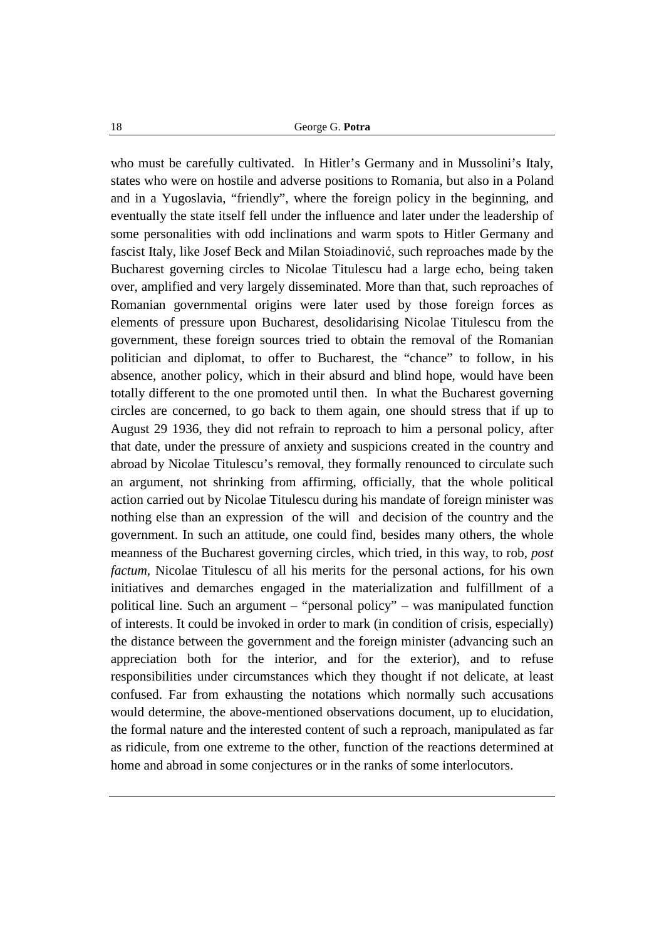who must be carefully cultivated. In Hitler's Germany and in Mussolini's Italy, states who were on hostile and adverse positions to Romania, but also in a Poland and in a Yugoslavia, "friendly", where the foreign policy in the beginning, and eventually the state itself fell under the influence and later under the leadership of some personalities with odd inclinations and warm spots to Hitler Germany and fascist Italy, like Josef Beck and Milan Stoiadinović, such reproaches made by the Bucharest governing circles to Nicolae Titulescu had a large echo, being taken over, amplified and very largely disseminated. More than that, such reproaches of Romanian governmental origins were later used by those foreign forces as elements of pressure upon Bucharest, desolidarising Nicolae Titulescu from the government, these foreign sources tried to obtain the removal of the Romanian politician and diplomat, to offer to Bucharest, the "chance" to follow, in his absence, another policy, which in their absurd and blind hope, would have been totally different to the one promoted until then. In what the Bucharest governing circles are concerned, to go back to them again, one should stress that if up to August 29 1936, they did not refrain to reproach to him a personal policy, after that date, under the pressure of anxiety and suspicions created in the country and abroad by Nicolae Titulescu's removal, they formally renounced to circulate such an argument, not shrinking from affirming, officially, that the whole political action carried out by Nicolae Titulescu during his mandate of foreign minister was nothing else than an expression of the will and decision of the country and the government. In such an attitude, one could find, besides many others, the whole meanness of the Bucharest governing circles, which tried, in this way, to rob, *post factum,* Nicolae Titulescu of all his merits for the personal actions, for his own initiatives and demarches engaged in the materialization and fulfillment of a political line. Such an argument – "personal policy" – was manipulated function of interests. It could be invoked in order to mark (in condition of crisis, especially) the distance between the government and the foreign minister (advancing such an appreciation both for the interior, and for the exterior), and to refuse responsibilities under circumstances which they thought if not delicate, at least confused. Far from exhausting the notations which normally such accusations would determine, the above-mentioned observations document, up to elucidation, the formal nature and the interested content of such a reproach, manipulated as far as ridicule, from one extreme to the other, function of the reactions determined at home and abroad in some conjectures or in the ranks of some interlocutors.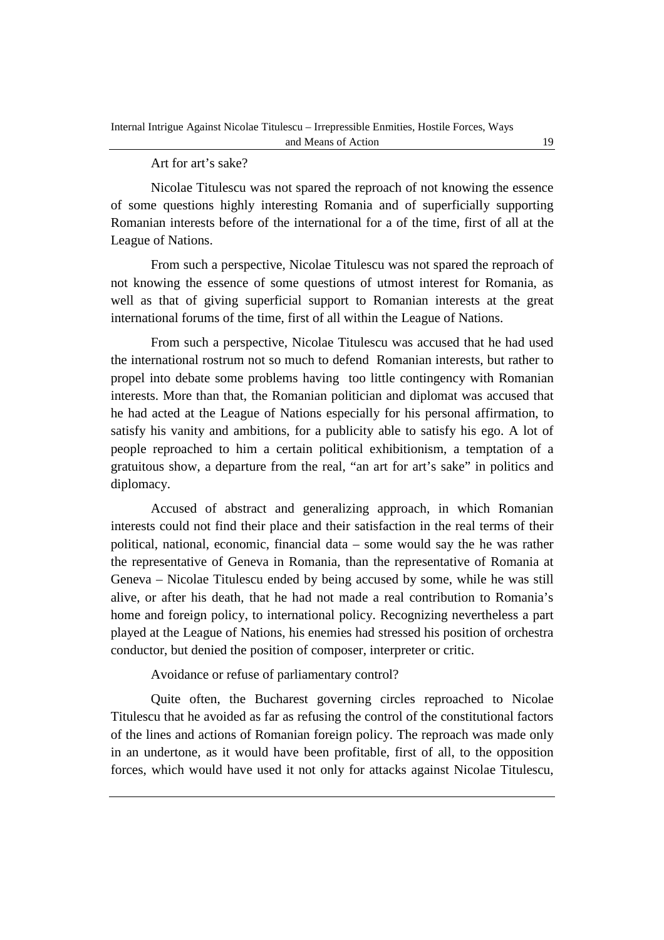#### Art for art's sake?

Nicolae Titulescu was not spared the reproach of not knowing the essence of some questions highly interesting Romania and of superficially supporting Romanian interests before of the international for a of the time, first of all at the League of Nations.

From such a perspective, Nicolae Titulescu was not spared the reproach of not knowing the essence of some questions of utmost interest for Romania, as well as that of giving superficial support to Romanian interests at the great international forums of the time, first of all within the League of Nations.

From such a perspective, Nicolae Titulescu was accused that he had used the international rostrum not so much to defend Romanian interests, but rather to propel into debate some problems having too little contingency with Romanian interests. More than that, the Romanian politician and diplomat was accused that he had acted at the League of Nations especially for his personal affirmation, to satisfy his vanity and ambitions, for a publicity able to satisfy his ego. A lot of people reproached to him a certain political exhibitionism, a temptation of a gratuitous show, a departure from the real, "an art for art's sake" in politics and diplomacy.

Accused of abstract and generalizing approach, in which Romanian interests could not find their place and their satisfaction in the real terms of their political, national, economic, financial data – some would say the he was rather the representative of Geneva in Romania, than the representative of Romania at Geneva – Nicolae Titulescu ended by being accused by some, while he was still alive, or after his death, that he had not made a real contribution to Romania's home and foreign policy, to international policy. Recognizing nevertheless a part played at the League of Nations, his enemies had stressed his position of orchestra conductor, but denied the position of composer, interpreter or critic.

Avoidance or refuse of parliamentary control?

Quite often, the Bucharest governing circles reproached to Nicolae Titulescu that he avoided as far as refusing the control of the constitutional factors of the lines and actions of Romanian foreign policy. The reproach was made only in an undertone, as it would have been profitable, first of all, to the opposition forces, which would have used it not only for attacks against Nicolae Titulescu,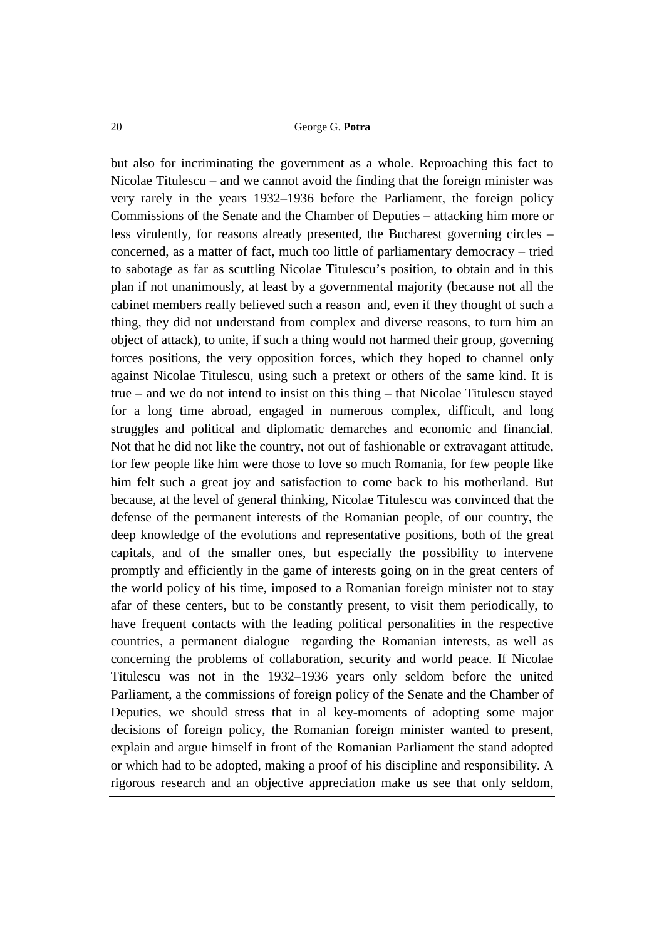but also for incriminating the government as a whole. Reproaching this fact to Nicolae Titulescu – and we cannot avoid the finding that the foreign minister was very rarely in the years 1932–1936 before the Parliament, the foreign policy Commissions of the Senate and the Chamber of Deputies – attacking him more or less virulently, for reasons already presented, the Bucharest governing circles – concerned, as a matter of fact, much too little of parliamentary democracy – tried to sabotage as far as scuttling Nicolae Titulescu's position, to obtain and in this plan if not unanimously, at least by a governmental majority (because not all the cabinet members really believed such a reason and, even if they thought of such a thing, they did not understand from complex and diverse reasons, to turn him an object of attack), to unite, if such a thing would not harmed their group, governing forces positions, the very opposition forces, which they hoped to channel only against Nicolae Titulescu, using such a pretext or others of the same kind. It is true – and we do not intend to insist on this thing – that Nicolae Titulescu stayed for a long time abroad, engaged in numerous complex, difficult, and long struggles and political and diplomatic demarches and economic and financial. Not that he did not like the country, not out of fashionable or extravagant attitude, for few people like him were those to love so much Romania, for few people like him felt such a great joy and satisfaction to come back to his motherland. But because, at the level of general thinking, Nicolae Titulescu was convinced that the defense of the permanent interests of the Romanian people, of our country, the deep knowledge of the evolutions and representative positions, both of the great capitals, and of the smaller ones, but especially the possibility to intervene promptly and efficiently in the game of interests going on in the great centers of the world policy of his time, imposed to a Romanian foreign minister not to stay afar of these centers, but to be constantly present, to visit them periodically, to have frequent contacts with the leading political personalities in the respective countries, a permanent dialogue regarding the Romanian interests, as well as concerning the problems of collaboration, security and world peace. If Nicolae Titulescu was not in the 1932–1936 years only seldom before the united Parliament, a the commissions of foreign policy of the Senate and the Chamber of Deputies, we should stress that in al key-moments of adopting some major decisions of foreign policy, the Romanian foreign minister wanted to present, explain and argue himself in front of the Romanian Parliament the stand adopted or which had to be adopted, making a proof of his discipline and responsibility. A rigorous research and an objective appreciation make us see that only seldom,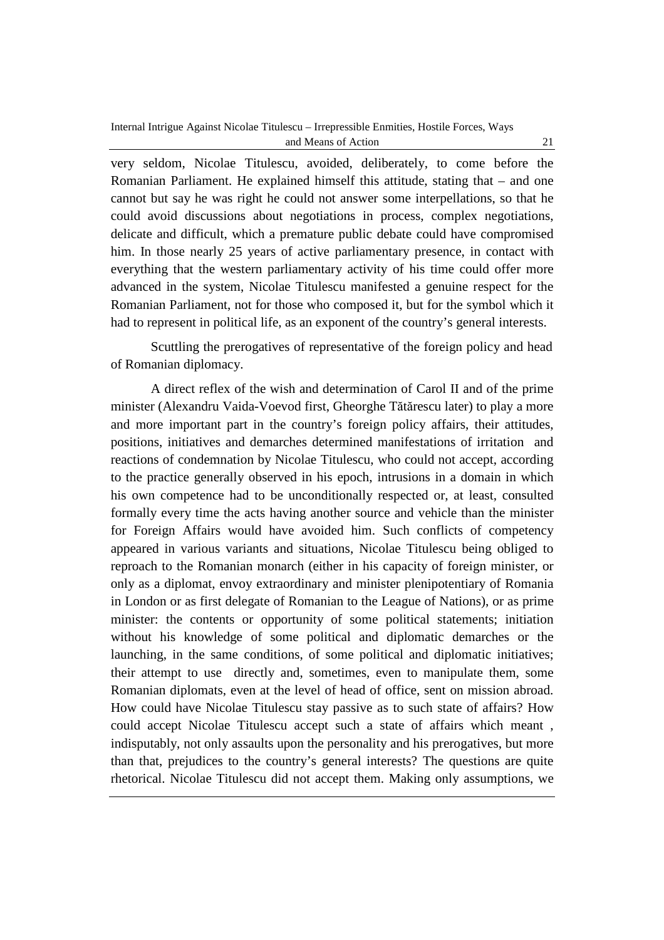very seldom, Nicolae Titulescu, avoided, deliberately, to come before the Romanian Parliament. He explained himself this attitude, stating that – and one cannot but say he was right he could not answer some interpellations, so that he could avoid discussions about negotiations in process, complex negotiations, delicate and difficult, which a premature public debate could have compromised him. In those nearly 25 years of active parliamentary presence, in contact with everything that the western parliamentary activity of his time could offer more advanced in the system, Nicolae Titulescu manifested a genuine respect for the Romanian Parliament, not for those who composed it, but for the symbol which it had to represent in political life, as an exponent of the country's general interests.

Scuttling the prerogatives of representative of the foreign policy and head of Romanian diplomacy.

A direct reflex of the wish and determination of Carol II and of the prime minister (Alexandru Vaida-Voevod first, Gheorghe Tătărescu later) to play a more and more important part in the country's foreign policy affairs, their attitudes, positions, initiatives and demarches determined manifestations of irritation and reactions of condemnation by Nicolae Titulescu, who could not accept, according to the practice generally observed in his epoch, intrusions in a domain in which his own competence had to be unconditionally respected or, at least, consulted formally every time the acts having another source and vehicle than the minister for Foreign Affairs would have avoided him. Such conflicts of competency appeared in various variants and situations, Nicolae Titulescu being obliged to reproach to the Romanian monarch (either in his capacity of foreign minister, or only as a diplomat, envoy extraordinary and minister plenipotentiary of Romania in London or as first delegate of Romanian to the League of Nations), or as prime minister: the contents or opportunity of some political statements; initiation without his knowledge of some political and diplomatic demarches or the launching, in the same conditions, of some political and diplomatic initiatives; their attempt to use directly and, sometimes, even to manipulate them, some Romanian diplomats, even at the level of head of office, sent on mission abroad. How could have Nicolae Titulescu stay passive as to such state of affairs? How could accept Nicolae Titulescu accept such a state of affairs which meant , indisputably, not only assaults upon the personality and his prerogatives, but more than that, prejudices to the country's general interests? The questions are quite rhetorical. Nicolae Titulescu did not accept them. Making only assumptions, we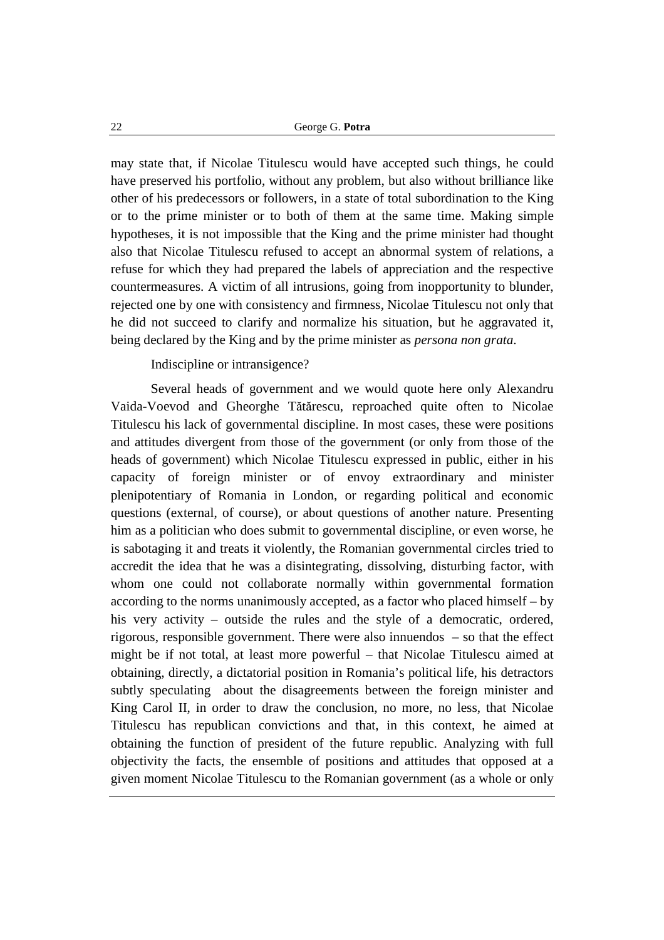may state that, if Nicolae Titulescu would have accepted such things, he could have preserved his portfolio, without any problem, but also without brilliance like other of his predecessors or followers, in a state of total subordination to the King or to the prime minister or to both of them at the same time. Making simple hypotheses, it is not impossible that the King and the prime minister had thought also that Nicolae Titulescu refused to accept an abnormal system of relations, a refuse for which they had prepared the labels of appreciation and the respective countermeasures. A victim of all intrusions, going from inopportunity to blunder, rejected one by one with consistency and firmness, Nicolae Titulescu not only that he did not succeed to clarify and normalize his situation, but he aggravated it, being declared by the King and by the prime minister as *persona non grata.*

Indiscipline or intransigence?

Several heads of government and we would quote here only Alexandru Vaida-Voevod and Gheorghe Tătărescu, reproached quite often to Nicolae Titulescu his lack of governmental discipline. In most cases, these were positions and attitudes divergent from those of the government (or only from those of the heads of government) which Nicolae Titulescu expressed in public, either in his capacity of foreign minister or of envoy extraordinary and minister plenipotentiary of Romania in London, or regarding political and economic questions (external, of course), or about questions of another nature. Presenting him as a politician who does submit to governmental discipline, or even worse, he is sabotaging it and treats it violently, the Romanian governmental circles tried to accredit the idea that he was a disintegrating, dissolving, disturbing factor, with whom one could not collaborate normally within governmental formation according to the norms unanimously accepted, as a factor who placed himself – by his very activity – outside the rules and the style of a democratic, ordered, rigorous, responsible government. There were also innuendos – so that the effect might be if not total, at least more powerful – that Nicolae Titulescu aimed at obtaining, directly, a dictatorial position in Romania's political life, his detractors subtly speculating about the disagreements between the foreign minister and King Carol II, in order to draw the conclusion, no more, no less, that Nicolae Titulescu has republican convictions and that, in this context, he aimed at obtaining the function of president of the future republic. Analyzing with full objectivity the facts, the ensemble of positions and attitudes that opposed at a given moment Nicolae Titulescu to the Romanian government (as a whole or only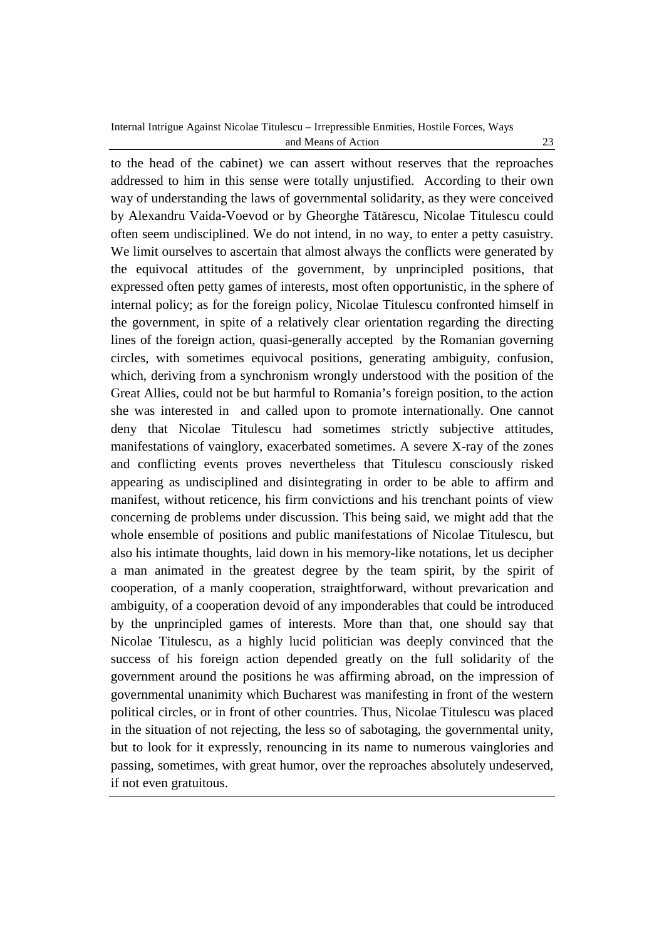to the head of the cabinet) we can assert without reserves that the reproaches addressed to him in this sense were totally unjustified. According to their own way of understanding the laws of governmental solidarity, as they were conceived by Alexandru Vaida-Voevod or by Gheorghe Tătărescu, Nicolae Titulescu could often seem undisciplined. We do not intend, in no way, to enter a petty casuistry. We limit ourselves to ascertain that almost always the conflicts were generated by the equivocal attitudes of the government, by unprincipled positions, that expressed often petty games of interests, most often opportunistic, in the sphere of internal policy; as for the foreign policy, Nicolae Titulescu confronted himself in the government, in spite of a relatively clear orientation regarding the directing lines of the foreign action, quasi-generally accepted by the Romanian governing circles, with sometimes equivocal positions, generating ambiguity, confusion, which, deriving from a synchronism wrongly understood with the position of the Great Allies, could not be but harmful to Romania's foreign position, to the action she was interested in and called upon to promote internationally. One cannot deny that Nicolae Titulescu had sometimes strictly subjective attitudes, manifestations of vainglory, exacerbated sometimes. A severe X-ray of the zones and conflicting events proves nevertheless that Titulescu consciously risked appearing as undisciplined and disintegrating in order to be able to affirm and manifest, without reticence, his firm convictions and his trenchant points of view concerning de problems under discussion. This being said, we might add that the whole ensemble of positions and public manifestations of Nicolae Titulescu, but also his intimate thoughts, laid down in his memory-like notations, let us decipher a man animated in the greatest degree by the team spirit, by the spirit of cooperation, of a manly cooperation, straightforward, without prevarication and ambiguity, of a cooperation devoid of any imponderables that could be introduced by the unprincipled games of interests. More than that, one should say that Nicolae Titulescu, as a highly lucid politician was deeply convinced that the success of his foreign action depended greatly on the full solidarity of the government around the positions he was affirming abroad, on the impression of governmental unanimity which Bucharest was manifesting in front of the western political circles, or in front of other countries. Thus, Nicolae Titulescu was placed in the situation of not rejecting, the less so of sabotaging, the governmental unity, but to look for it expressly, renouncing in its name to numerous vainglories and passing, sometimes, with great humor, over the reproaches absolutely undeserved, if not even gratuitous.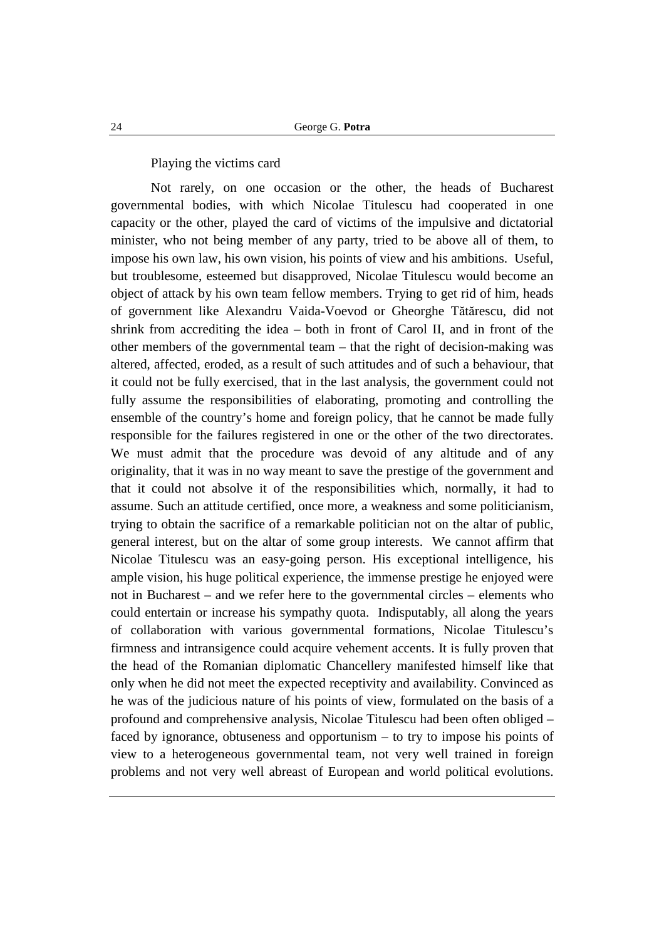Playing the victims card

Not rarely, on one occasion or the other, the heads of Bucharest governmental bodies, with which Nicolae Titulescu had cooperated in one capacity or the other, played the card of victims of the impulsive and dictatorial minister, who not being member of any party, tried to be above all of them, to impose his own law, his own vision, his points of view and his ambitions. Useful, but troublesome, esteemed but disapproved, Nicolae Titulescu would become an object of attack by his own team fellow members. Trying to get rid of him, heads of government like Alexandru Vaida-Voevod or Gheorghe Tătărescu, did not shrink from accrediting the idea – both in front of Carol II, and in front of the other members of the governmental team – that the right of decision-making was altered, affected, eroded, as a result of such attitudes and of such a behaviour, that it could not be fully exercised, that in the last analysis, the government could not fully assume the responsibilities of elaborating, promoting and controlling the ensemble of the country's home and foreign policy, that he cannot be made fully responsible for the failures registered in one or the other of the two directorates. We must admit that the procedure was devoid of any altitude and of any originality, that it was in no way meant to save the prestige of the government and that it could not absolve it of the responsibilities which, normally, it had to assume. Such an attitude certified, once more, a weakness and some politicianism, trying to obtain the sacrifice of a remarkable politician not on the altar of public, general interest, but on the altar of some group interests. We cannot affirm that Nicolae Titulescu was an easy-going person. His exceptional intelligence, his ample vision, his huge political experience, the immense prestige he enjoyed were not in Bucharest – and we refer here to the governmental circles – elements who could entertain or increase his sympathy quota. Indisputably, all along the years of collaboration with various governmental formations, Nicolae Titulescu's firmness and intransigence could acquire vehement accents. It is fully proven that the head of the Romanian diplomatic Chancellery manifested himself like that only when he did not meet the expected receptivity and availability. Convinced as he was of the judicious nature of his points of view, formulated on the basis of a profound and comprehensive analysis, Nicolae Titulescu had been often obliged – faced by ignorance, obtuseness and opportunism – to try to impose his points of view to a heterogeneous governmental team, not very well trained in foreign problems and not very well abreast of European and world political evolutions.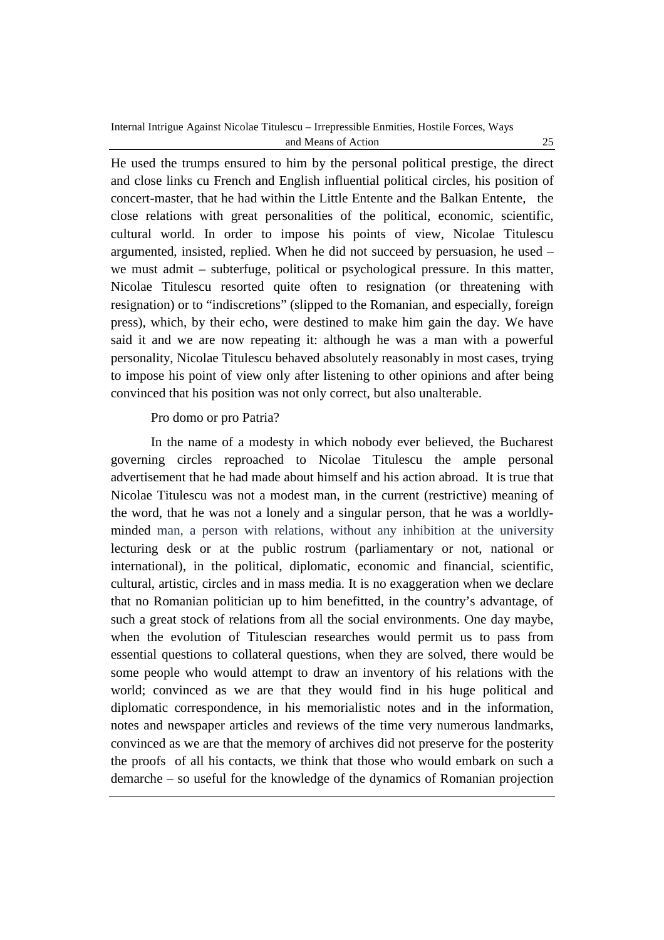He used the trumps ensured to him by the personal political prestige, the direct and close links cu French and English influential political circles, his position of concert-master, that he had within the Little Entente and the Balkan Entente, the close relations with great personalities of the political, economic, scientific, cultural world. In order to impose his points of view, Nicolae Titulescu argumented, insisted, replied. When he did not succeed by persuasion, he used – we must admit – subterfuge, political or psychological pressure. In this matter, Nicolae Titulescu resorted quite often to resignation (or threatening with resignation) or to "indiscretions" (slipped to the Romanian, and especially, foreign press), which, by their echo, were destined to make him gain the day. We have said it and we are now repeating it: although he was a man with a powerful personality, Nicolae Titulescu behaved absolutely reasonably in most cases, trying to impose his point of view only after listening to other opinions and after being convinced that his position was not only correct, but also unalterable.

## Pro domo or pro Patria?

In the name of a modesty in which nobody ever believed, the Bucharest governing circles reproached to Nicolae Titulescu the ample personal advertisement that he had made about himself and his action abroad. It is true that Nicolae Titulescu was not a modest man, in the current (restrictive) meaning of the word, that he was not a lonely and a singular person, that he was a worldlyminded man, a person with relations, without any inhibition at the university lecturing desk or at the public rostrum (parliamentary or not, national or international), in the political, diplomatic, economic and financial, scientific, cultural, artistic, circles and in mass media. It is no exaggeration when we declare that no Romanian politician up to him benefitted, in the country's advantage, of such a great stock of relations from all the social environments. One day maybe, when the evolution of Titulescian researches would permit us to pass from essential questions to collateral questions, when they are solved, there would be some people who would attempt to draw an inventory of his relations with the world; convinced as we are that they would find in his huge political and diplomatic correspondence, in his memorialistic notes and in the information, notes and newspaper articles and reviews of the time very numerous landmarks, convinced as we are that the memory of archives did not preserve for the posterity the proofs of all his contacts, we think that those who would embark on such a demarche – so useful for the knowledge of the dynamics of Romanian projection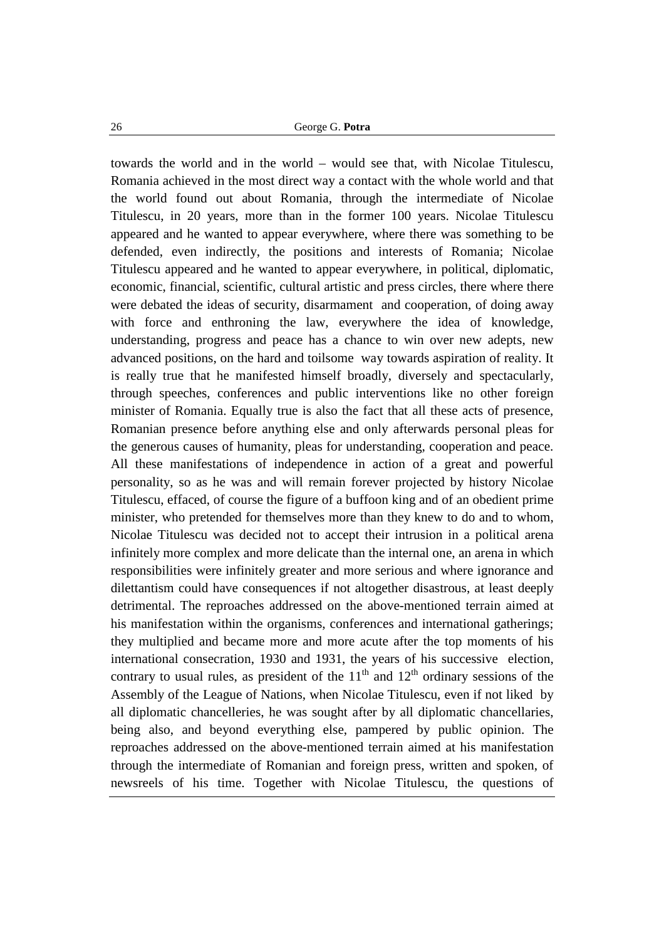towards the world and in the world – would see that, with Nicolae Titulescu, Romania achieved in the most direct way a contact with the whole world and that the world found out about Romania, through the intermediate of Nicolae Titulescu, in 20 years, more than in the former 100 years. Nicolae Titulescu appeared and he wanted to appear everywhere, where there was something to be defended, even indirectly, the positions and interests of Romania; Nicolae Titulescu appeared and he wanted to appear everywhere, in political, diplomatic, economic, financial, scientific, cultural artistic and press circles, there where there were debated the ideas of security, disarmament and cooperation, of doing away with force and enthroning the law, everywhere the idea of knowledge, understanding, progress and peace has a chance to win over new adepts, new advanced positions, on the hard and toilsome way towards aspiration of reality. It is really true that he manifested himself broadly, diversely and spectacularly, through speeches, conferences and public interventions like no other foreign minister of Romania. Equally true is also the fact that all these acts of presence, Romanian presence before anything else and only afterwards personal pleas for the generous causes of humanity, pleas for understanding, cooperation and peace. All these manifestations of independence in action of a great and powerful personality, so as he was and will remain forever projected by history Nicolae Titulescu, effaced, of course the figure of a buffoon king and of an obedient prime minister, who pretended for themselves more than they knew to do and to whom, Nicolae Titulescu was decided not to accept their intrusion in a political arena infinitely more complex and more delicate than the internal one, an arena in which responsibilities were infinitely greater and more serious and where ignorance and dilettantism could have consequences if not altogether disastrous, at least deeply detrimental. The reproaches addressed on the above-mentioned terrain aimed at his manifestation within the organisms, conferences and international gatherings; they multiplied and became more and more acute after the top moments of his international consecration, 1930 and 1931, the years of his successive election, contrary to usual rules, as president of the  $11<sup>th</sup>$  and  $12<sup>th</sup>$  ordinary sessions of the Assembly of the League of Nations, when Nicolae Titulescu, even if not liked by all diplomatic chancelleries, he was sought after by all diplomatic chancellaries, being also, and beyond everything else, pampered by public opinion. The reproaches addressed on the above-mentioned terrain aimed at his manifestation through the intermediate of Romanian and foreign press, written and spoken, of newsreels of his time. Together with Nicolae Titulescu, the questions of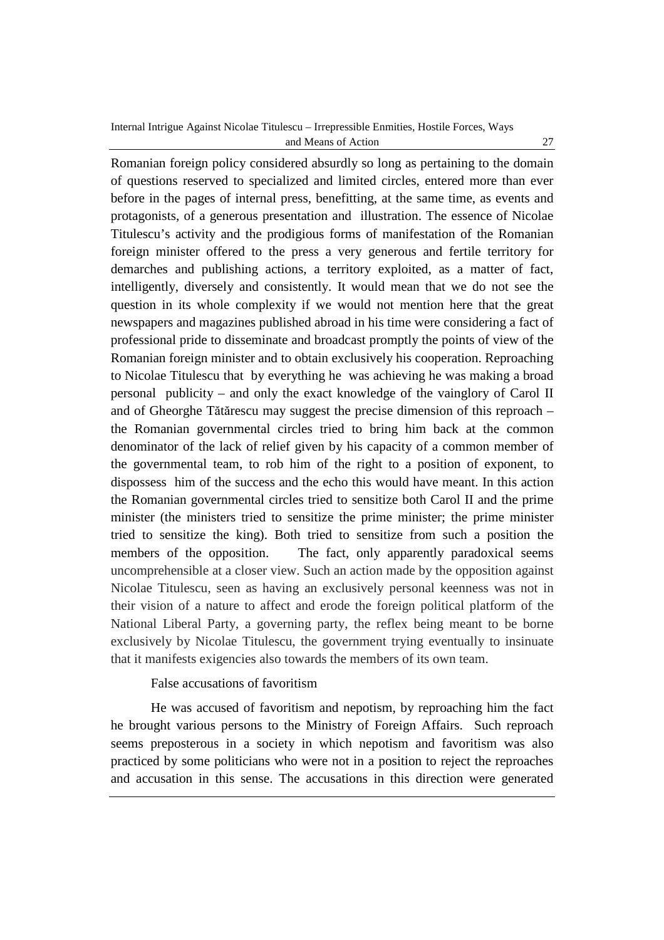Romanian foreign policy considered absurdly so long as pertaining to the domain of questions reserved to specialized and limited circles, entered more than ever before in the pages of internal press, benefitting, at the same time, as events and protagonists, of a generous presentation and illustration. The essence of Nicolae Titulescu's activity and the prodigious forms of manifestation of the Romanian foreign minister offered to the press a very generous and fertile territory for demarches and publishing actions, a territory exploited, as a matter of fact, intelligently, diversely and consistently. It would mean that we do not see the question in its whole complexity if we would not mention here that the great newspapers and magazines published abroad in his time were considering a fact of professional pride to disseminate and broadcast promptly the points of view of the Romanian foreign minister and to obtain exclusively his cooperation. Reproaching to Nicolae Titulescu that by everything he was achieving he was making a broad personal publicity – and only the exact knowledge of the vainglory of Carol II and of Gheorghe Tătărescu may suggest the precise dimension of this reproach – the Romanian governmental circles tried to bring him back at the common denominator of the lack of relief given by his capacity of a common member of the governmental team, to rob him of the right to a position of exponent, to dispossess him of the success and the echo this would have meant. In this action the Romanian governmental circles tried to sensitize both Carol II and the prime minister (the ministers tried to sensitize the prime minister; the prime minister tried to sensitize the king). Both tried to sensitize from such a position the members of the opposition. The fact, only apparently paradoxical seems uncomprehensible at a closer view. Such an action made by the opposition against Nicolae Titulescu, seen as having an exclusively personal keenness was not in their vision of a nature to affect and erode the foreign political platform of the National Liberal Party, a governing party, the reflex being meant to be borne exclusively by Nicolae Titulescu, the government trying eventually to insinuate that it manifests exigencies also towards the members of its own team.

## False accusations of favoritism

He was accused of favoritism and nepotism, by reproaching him the fact he brought various persons to the Ministry of Foreign Affairs. Such reproach seems preposterous in a society in which nepotism and favoritism was also practiced by some politicians who were not in a position to reject the reproaches and accusation in this sense. The accusations in this direction were generated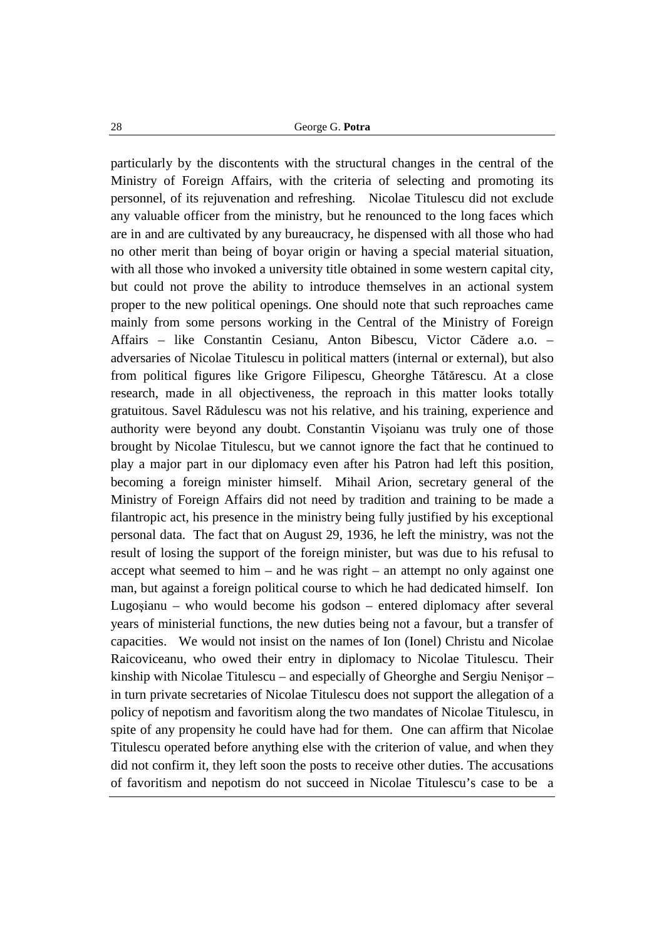particularly by the discontents with the structural changes in the central of the Ministry of Foreign Affairs, with the criteria of selecting and promoting its personnel, of its rejuvenation and refreshing. Nicolae Titulescu did not exclude any valuable officer from the ministry, but he renounced to the long faces which are in and are cultivated by any bureaucracy, he dispensed with all those who had no other merit than being of boyar origin or having a special material situation, with all those who invoked a university title obtained in some western capital city, but could not prove the ability to introduce themselves in an actional system proper to the new political openings. One should note that such reproaches came mainly from some persons working in the Central of the Ministry of Foreign Affairs – like Constantin Cesianu, Anton Bibescu, Victor Cădere a.o. – adversaries of Nicolae Titulescu in political matters (internal or external), but also from political figures like Grigore Filipescu, Gheorghe Tătărescu. At a close research, made in all objectiveness, the reproach in this matter looks totally gratuitous. Savel Rădulescu was not his relative, and his training, experience and authority were beyond any doubt. Constantin Vişoianu was truly one of those brought by Nicolae Titulescu, but we cannot ignore the fact that he continued to play a major part in our diplomacy even after his Patron had left this position, becoming a foreign minister himself. Mihail Arion, secretary general of the Ministry of Foreign Affairs did not need by tradition and training to be made a filantropic act, his presence in the ministry being fully justified by his exceptional personal data. The fact that on August 29, 1936, he left the ministry, was not the result of losing the support of the foreign minister, but was due to his refusal to accept what seemed to him – and he was right – an attempt no only against one man, but against a foreign political course to which he had dedicated himself. Ion Lugoşianu – who would become his godson – entered diplomacy after several years of ministerial functions, the new duties being not a favour, but a transfer of capacities. We would not insist on the names of Ion (Ionel) Christu and Nicolae Raicoviceanu, who owed their entry in diplomacy to Nicolae Titulescu. Their kinship with Nicolae Titulescu – and especially of Gheorghe and Sergiu Nenişor – in turn private secretaries of Nicolae Titulescu does not support the allegation of a policy of nepotism and favoritism along the two mandates of Nicolae Titulescu, in spite of any propensity he could have had for them. One can affirm that Nicolae Titulescu operated before anything else with the criterion of value, and when they did not confirm it, they left soon the posts to receive other duties. The accusations of favoritism and nepotism do not succeed in Nicolae Titulescu's case to be a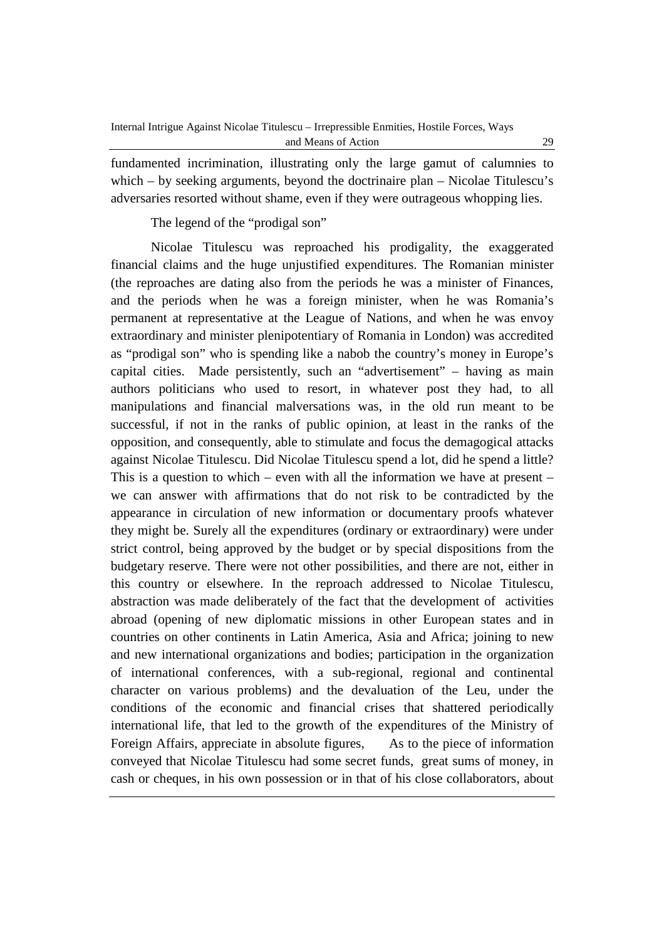fundamented incrimination, illustrating only the large gamut of calumnies to which – by seeking arguments, beyond the doctrinaire plan – Nicolae Titulescu's adversaries resorted without shame, even if they were outrageous whopping lies.

The legend of the "prodigal son"

Nicolae Titulescu was reproached his prodigality, the exaggerated financial claims and the huge unjustified expenditures. The Romanian minister (the reproaches are dating also from the periods he was a minister of Finances, and the periods when he was a foreign minister, when he was Romania's permanent at representative at the League of Nations, and when he was envoy extraordinary and minister plenipotentiary of Romania in London) was accredited as "prodigal son" who is spending like a nabob the country's money in Europe's capital cities. Made persistently, such an "advertisement" – having as main authors politicians who used to resort, in whatever post they had, to all manipulations and financial malversations was, in the old run meant to be successful, if not in the ranks of public opinion, at least in the ranks of the opposition, and consequently, able to stimulate and focus the demagogical attacks against Nicolae Titulescu. Did Nicolae Titulescu spend a lot, did he spend a little? This is a question to which – even with all the information we have at present – we can answer with affirmations that do not risk to be contradicted by the appearance in circulation of new information or documentary proofs whatever they might be. Surely all the expenditures (ordinary or extraordinary) were under strict control, being approved by the budget or by special dispositions from the budgetary reserve. There were not other possibilities, and there are not, either in this country or elsewhere. In the reproach addressed to Nicolae Titulescu, abstraction was made deliberately of the fact that the development of activities abroad (opening of new diplomatic missions in other European states and in countries on other continents in Latin America, Asia and Africa; joining to new and new international organizations and bodies; participation in the organization of international conferences, with a sub-regional, regional and continental character on various problems) and the devaluation of the Leu, under the conditions of the economic and financial crises that shattered periodically international life, that led to the growth of the expenditures of the Ministry of Foreign Affairs, appreciate in absolute figures, As to the piece of information conveyed that Nicolae Titulescu had some secret funds, great sums of money, in cash or cheques, in his own possession or in that of his close collaborators, about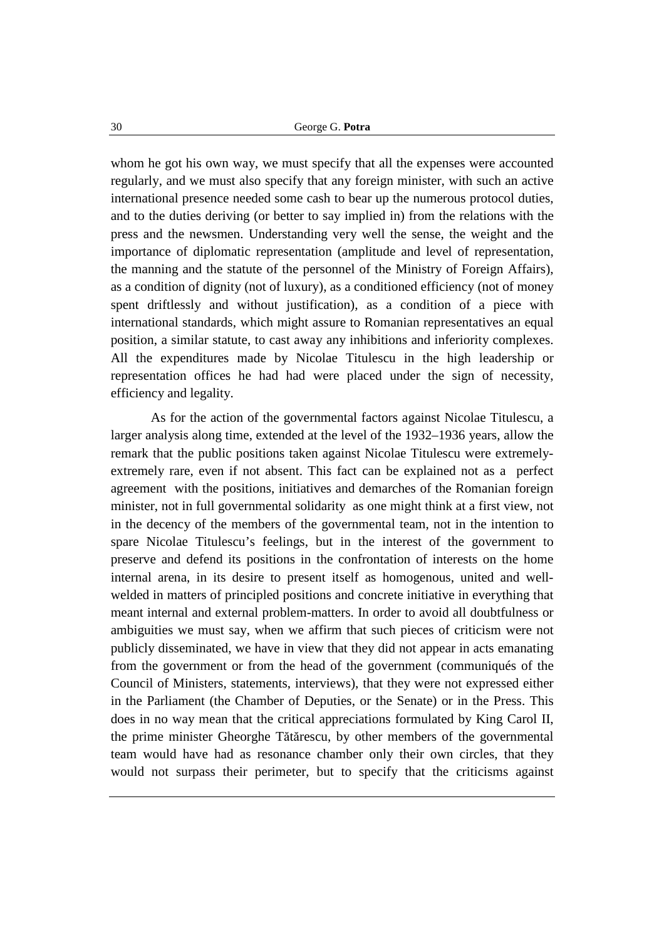whom he got his own way, we must specify that all the expenses were accounted regularly, and we must also specify that any foreign minister, with such an active international presence needed some cash to bear up the numerous protocol duties, and to the duties deriving (or better to say implied in) from the relations with the press and the newsmen. Understanding very well the sense, the weight and the importance of diplomatic representation (amplitude and level of representation, the manning and the statute of the personnel of the Ministry of Foreign Affairs), as a condition of dignity (not of luxury), as a conditioned efficiency (not of money spent driftlessly and without justification), as a condition of a piece with international standards, which might assure to Romanian representatives an equal position, a similar statute, to cast away any inhibitions and inferiority complexes. All the expenditures made by Nicolae Titulescu in the high leadership or representation offices he had had were placed under the sign of necessity, efficiency and legality.

As for the action of the governmental factors against Nicolae Titulescu, a larger analysis along time, extended at the level of the 1932–1936 years, allow the remark that the public positions taken against Nicolae Titulescu were extremelyextremely rare, even if not absent. This fact can be explained not as a perfect agreement with the positions, initiatives and demarches of the Romanian foreign minister, not in full governmental solidarity as one might think at a first view, not in the decency of the members of the governmental team, not in the intention to spare Nicolae Titulescu's feelings, but in the interest of the government to preserve and defend its positions in the confrontation of interests on the home internal arena, in its desire to present itself as homogenous, united and wellwelded in matters of principled positions and concrete initiative in everything that meant internal and external problem-matters. In order to avoid all doubtfulness or ambiguities we must say, when we affirm that such pieces of criticism were not publicly disseminated, we have in view that they did not appear in acts emanating from the government or from the head of the government (communiqués of the Council of Ministers, statements, interviews), that they were not expressed either in the Parliament (the Chamber of Deputies, or the Senate) or in the Press. This does in no way mean that the critical appreciations formulated by King Carol II, the prime minister Gheorghe Tătărescu, by other members of the governmental team would have had as resonance chamber only their own circles, that they would not surpass their perimeter, but to specify that the criticisms against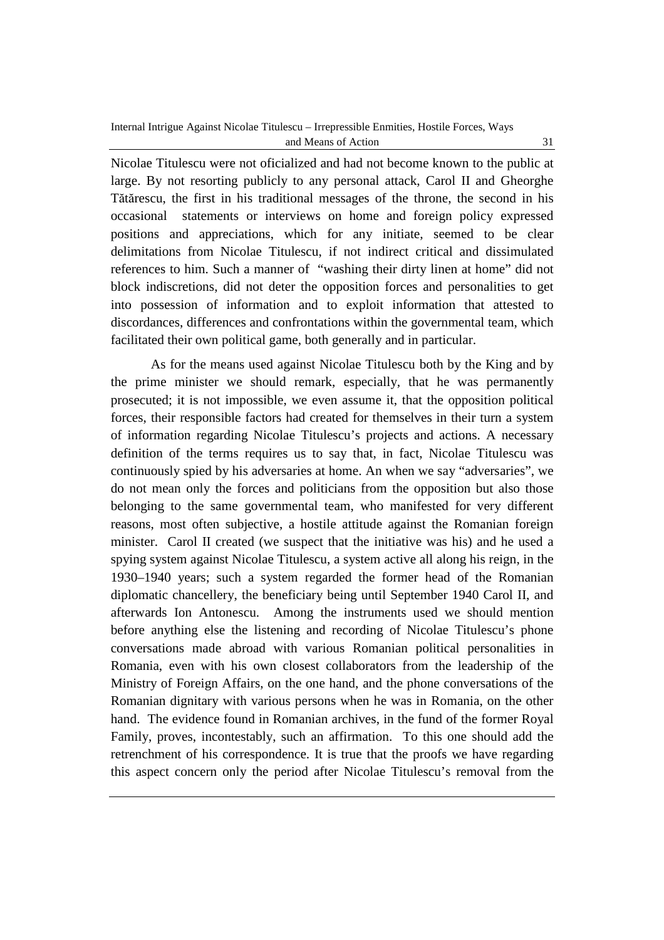Nicolae Titulescu were not oficialized and had not become known to the public at large. By not resorting publicly to any personal attack, Carol II and Gheorghe Tătărescu, the first in his traditional messages of the throne, the second in his occasional statements or interviews on home and foreign policy expressed positions and appreciations, which for any initiate, seemed to be clear delimitations from Nicolae Titulescu, if not indirect critical and dissimulated references to him. Such a manner of "washing their dirty linen at home" did not block indiscretions, did not deter the opposition forces and personalities to get into possession of information and to exploit information that attested to discordances, differences and confrontations within the governmental team, which facilitated their own political game, both generally and in particular.

As for the means used against Nicolae Titulescu both by the King and by the prime minister we should remark, especially, that he was permanently prosecuted; it is not impossible, we even assume it, that the opposition political forces, their responsible factors had created for themselves in their turn a system of information regarding Nicolae Titulescu's projects and actions. A necessary definition of the terms requires us to say that, in fact, Nicolae Titulescu was continuously spied by his adversaries at home. An when we say "adversaries", we do not mean only the forces and politicians from the opposition but also those belonging to the same governmental team, who manifested for very different reasons, most often subjective, a hostile attitude against the Romanian foreign minister. Carol II created (we suspect that the initiative was his) and he used a spying system against Nicolae Titulescu, a system active all along his reign, in the 1930–1940 years; such a system regarded the former head of the Romanian diplomatic chancellery, the beneficiary being until September 1940 Carol II, and afterwards Ion Antonescu. Among the instruments used we should mention before anything else the listening and recording of Nicolae Titulescu's phone conversations made abroad with various Romanian political personalities in Romania, even with his own closest collaborators from the leadership of the Ministry of Foreign Affairs, on the one hand, and the phone conversations of the Romanian dignitary with various persons when he was in Romania, on the other hand. The evidence found in Romanian archives, in the fund of the former Royal Family, proves, incontestably, such an affirmation. To this one should add the retrenchment of his correspondence. It is true that the proofs we have regarding this aspect concern only the period after Nicolae Titulescu's removal from the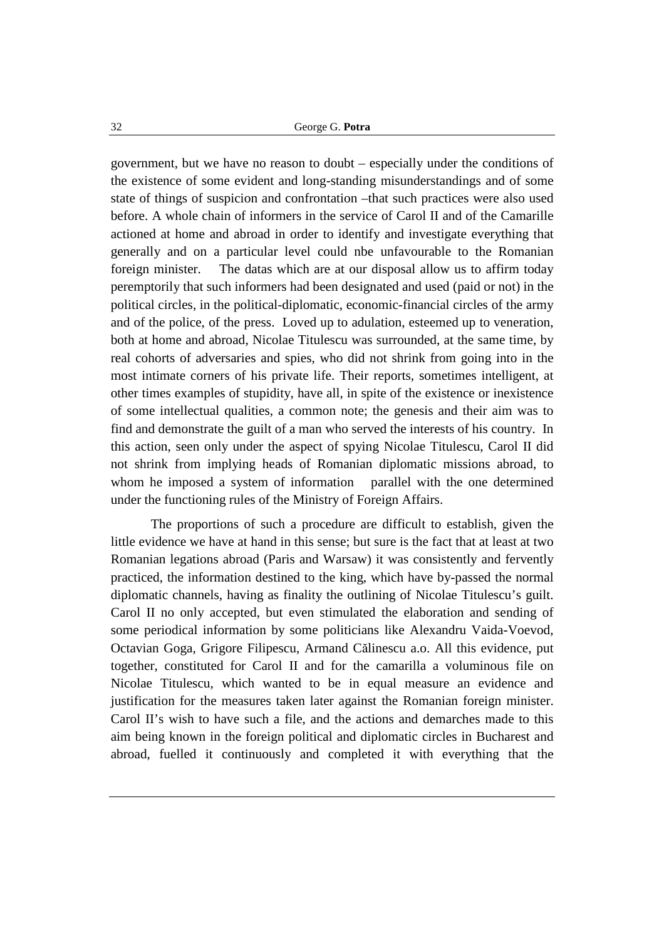government, but we have no reason to doubt – especially under the conditions of the existence of some evident and long-standing misunderstandings and of some state of things of suspicion and confrontation –that such practices were also used before. A whole chain of informers in the service of Carol II and of the Camarille actioned at home and abroad in order to identify and investigate everything that generally and on a particular level could nbe unfavourable to the Romanian foreign minister. The datas which are at our disposal allow us to affirm today peremptorily that such informers had been designated and used (paid or not) in the political circles, in the political-diplomatic, economic-financial circles of the army and of the police, of the press. Loved up to adulation, esteemed up to veneration, both at home and abroad, Nicolae Titulescu was surrounded, at the same time, by real cohorts of adversaries and spies, who did not shrink from going into in the most intimate corners of his private life. Their reports, sometimes intelligent, at other times examples of stupidity, have all, in spite of the existence or inexistence of some intellectual qualities, a common note; the genesis and their aim was to find and demonstrate the guilt of a man who served the interests of his country. In this action, seen only under the aspect of spying Nicolae Titulescu, Carol II did not shrink from implying heads of Romanian diplomatic missions abroad, to whom he imposed a system of information parallel with the one determined under the functioning rules of the Ministry of Foreign Affairs.

The proportions of such a procedure are difficult to establish, given the little evidence we have at hand in this sense; but sure is the fact that at least at two Romanian legations abroad (Paris and Warsaw) it was consistently and fervently practiced, the information destined to the king, which have by-passed the normal diplomatic channels, having as finality the outlining of Nicolae Titulescu's guilt. Carol II no only accepted, but even stimulated the elaboration and sending of some periodical information by some politicians like Alexandru Vaida-Voevod, Octavian Goga, Grigore Filipescu, Armand Călinescu a.o. All this evidence, put together, constituted for Carol II and for the camarilla a voluminous file on Nicolae Titulescu, which wanted to be in equal measure an evidence and justification for the measures taken later against the Romanian foreign minister. Carol II's wish to have such a file, and the actions and demarches made to this aim being known in the foreign political and diplomatic circles in Bucharest and abroad, fuelled it continuously and completed it with everything that the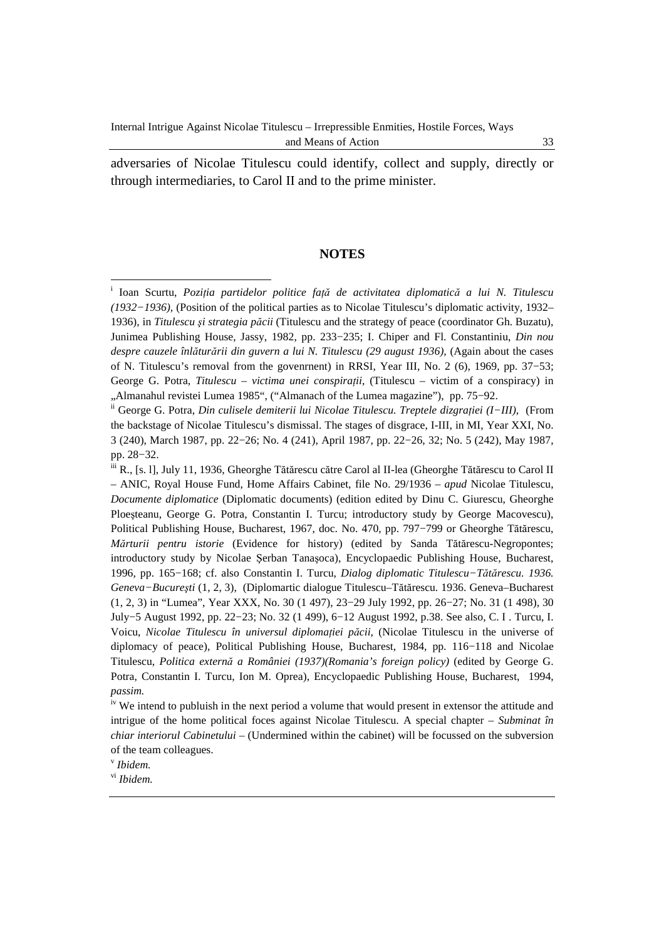adversaries of Nicolae Titulescu could identify, collect and supply, directly or through intermediaries, to Carol II and to the prime minister.

#### **NOTES**

v *Ibidem.* 

 $\overline{a}$ 

i Ioan Scurtu, *Poziţia partidelor politice faţă de activitatea diplomatică a lui N. Titulescu (1932−1936),* (Position of the political parties as to Nicolae Titulescu's diplomatic activity, 1932– 1936), in *Titulescu şi strategia păcii* (Titulescu and the strategy of peace (coordinator Gh. Buzatu), Junimea Publishing House, Jassy, 1982, pp. 233−235; I. Chiper and Fl. Constantiniu, *Din nou despre cauzele înlăturării din guvern a lui N. Titulescu (29 august 1936)*, (Again about the cases of N. Titulescu's removal from the govenrnent) in RRSI, Year III, No. 2 (6), 1969, pp. 37−53; George G. Potra, *Titulescu – victima unei conspiraţii*, (Titulescu – victim of a conspiracy) in "Almanahul revistei Lumea 1985", ("Almanach of the Lumea magazine"), pp. 75−92.

ii George G. Potra, *Din culisele demiterii lui Nicolae Titulescu. Treptele dizgraţiei (I−III)*, (From the backstage of Nicolae Titulescu's dismissal. The stages of disgrace, I-III, in MI, Year XXI, No. 3 (240), March 1987, pp. 22−26; No. 4 (241), April 1987, pp. 22−26, 32; No. 5 (242), May 1987, pp. 28−32.

iii R., [s. l], July 11, 1936, Gheorghe Tătărescu către Carol al II-lea (Gheorghe Tătărescu to Carol II – ANIC, Royal House Fund, Home Affairs Cabinet, file No. 29/1936 – *apud* Nicolae Titulescu, *Documente diplomatice* (Diplomatic documents) (edition edited by Dinu C. Giurescu, Gheorghe Ploeşteanu, George G. Potra, Constantin I. Turcu; introductory study by George Macovescu), Political Publishing House, Bucharest, 1967, doc. No. 470, pp. 797−799 or Gheorghe Tătărescu, *Mărturii pentru istorie* (Evidence for history) (edited by Sanda Tătărescu-Negropontes; introductory study by Nicolae Şerban Tanaşoca), Encyclopaedic Publishing House, Bucharest, 1996, pp. 165−168; cf. also Constantin I. Turcu, *Dialog diplomatic Titulescu−Tătărescu. 1936. Geneva−Bucureşti* (1, 2, 3), (Diplomartic dialogue Titulescu–Tătărescu. 1936. Geneva–Bucharest (1, 2, 3) in "Lumea", Year XXX, No. 30 (1 497), 23−29 July 1992, pp. 26−27; No. 31 (1 498), 30 July−5 August 1992, pp. 22−23; No. 32 (1 499), 6−12 August 1992, p.38. See also, C. I . Turcu, I. Voicu, *Nicolae Titulescu în universul diplomaţiei păcii*, (Nicolae Titulescu in the universe of diplomacy of peace), Political Publishing House, Bucharest, 1984, pp. 116−118 and Nicolae Titulescu, *Politica externă a României (1937)(Romania's foreign policy)* (edited by George G. Potra, Constantin I. Turcu, Ion M. Oprea), Encyclopaedic Publishing House, Bucharest, 1994, *passim.*

<sup>&</sup>lt;sup>iv</sup> We intend to publuish in the next period a volume that would present in extensor the attitude and intrigue of the home political foces against Nicolae Titulescu. A special chapter – *Subminat în chiar interiorul Cabinetului –* (Undermined within the cabinet) will be focussed on the subversion of the team colleagues.

vi *Ibidem.*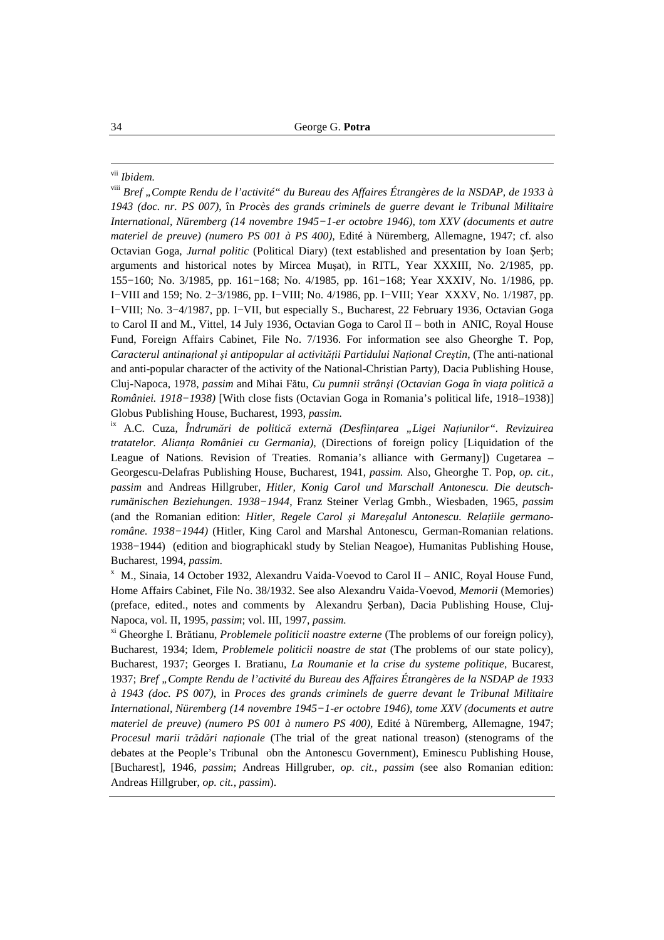#### vii *Ibidem.*

viii *Bref "Compte Rendu de l'activité" du Bureau des Affaires Étrangères de la NSDAP, de 1933 à 1943 (doc. nr. PS 007)*, în *Procès des grands criminels de guerre devant le Tribunal Militaire International, Nüremberg (14 novembre 1945−1-er octobre 1946)*, *tom XXV (documents et autre materiel de preuve) (numero PS 001 à PS 400),* Edité à Nüremberg, Allemagne, 1947; cf. also Octavian Goga, *Jurnal politic* (Political Diary) (text established and presentation by Ioan Şerb; arguments and historical notes by Mircea Muşat), in RITL, Year XXXIII, No. 2/1985, pp. 155−160; No. 3/1985, pp. 161−168; No. 4/1985, pp. 161−168; Year XXXIV, No. 1/1986, pp. I−VIII and 159; No. 2−3/1986, pp. I−VIII; No. 4/1986, pp. I−VIII; Year XXXV, No. 1/1987, pp. I−VIII; No. 3−4/1987, pp. I−VII, but especially S., Bucharest, 22 February 1936, Octavian Goga to Carol II and M., Vittel, 14 July 1936, Octavian Goga to Carol II – both in ANIC, Royal House Fund, Foreign Affairs Cabinet, File No. 7/1936. For information see also Gheorghe T. Pop, *Caracterul antinaţional şi antipopular al activităţii Partidului Naţional Creştin*, (The anti-national and anti-popular character of the activity of the National-Christian Party), Dacia Publishing House, Cluj-Napoca, 1978, *passim* and Mihai Fătu, *Cu pumnii strânşi (Octavian Goga în viaţa politică a României. 1918−1938)* [With close fists (Octavian Goga in Romania's political life, 1918–1938)] Globus Publishing House, Bucharest, 1993, *passim.* 

ix A.C. Cuza, *Îndrumări de politică externă (Desfiinţarea "Ligei Naţiunilor". Revizuirea tratatelor. Alianţa României cu Germania)*, (Directions of foreign policy [Liquidation of the League of Nations. Revision of Treaties. Romania's alliance with Germany]) Cugetarea – Georgescu-Delafras Publishing House, Bucharest, 1941, *passim.* Also, Gheorghe T. Pop, *op. cit., passim* and Andreas Hillgruber, *Hitler, Konig Carol und Marschall Antonescu. Die deutschrumänischen Beziehungen. 1938−1944*, Franz Steiner Verlag Gmbh., Wiesbaden, 1965, *passim* (and the Romanian edition: *Hitler, Regele Carol şi Mareşalul Antonescu. Relaţiile germanoromâne. 1938−1944)* (Hitler, King Carol and Marshal Antonescu, German-Romanian relations. 1938−1944)(edition and biographicakl study by Stelian Neagoe), Humanitas Publishing House, Bucharest, 1994, *passim.* 

 $X$  M., Sinaia, 14 October 1932, Alexandru Vaida-Voevod to Carol II – ANIC, Royal House Fund, Home Affairs Cabinet, File No. 38/1932. See also Alexandru Vaida-Voevod, *Memorii* (Memories) (preface, edited., notes and comments by Alexandru Şerban), Dacia Publishing House, Cluj-Napoca, vol. II, 1995, *passim*; vol. III, 1997, *passim.* 

xi Gheorghe I. Brătianu, *Problemele politicii noastre externe* (The problems of our foreign policy), Bucharest, 1934; Idem, *Problemele politicii noastre de stat* (The problems of our state policy), Bucharest, 1937; Georges I. Bratianu, *La Roumanie et la crise du systeme politique*, Bucarest, 1937; *Bref "Compte Rendu de l'activité du Bureau des Affaires Étrangères de la NSDAP de 1933 à 1943 (doc. PS 007)*, in *Proces des grands criminels de guerre devant le Tribunal Militaire International, Nüremberg (14 novembre 1945−1-er octobre 1946), tome XXV (documents et autre materiel de preuve) (numero PS 001 à numero PS 400)*, Edité à Nüremberg, Allemagne, 1947; *Procesul marii trădări naţionale* (The trial of the great national treason) (stenograms of the debates at the People's Tribunal obn the Antonescu Government)*,* Eminescu Publishing House, [Bucharest], 1946, *passim*; Andreas Hillgruber, *op. cit., passim* (see also Romanian edition: Andreas Hillgruber, *op. cit., passim*).

 $\overline{a}$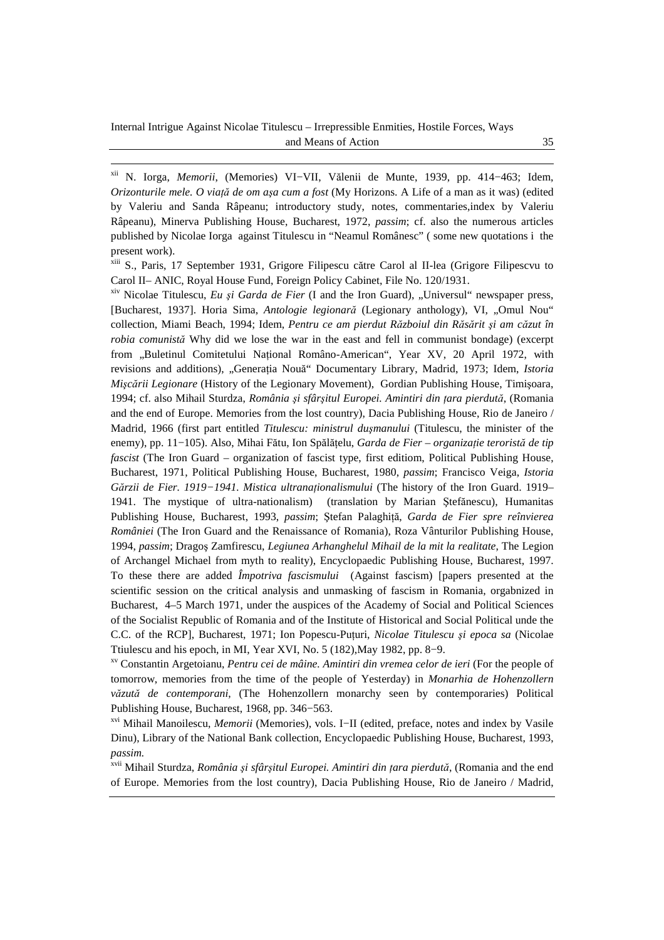$\overline{a}$ 

xii N. Iorga, *Memorii*, (Memories) VI−VII, Vălenii de Munte, 1939, pp. 414−463; Idem, *Orizonturile mele. O viaţă de om aşa cum a fost* (My Horizons. A Life of a man as it was) (edited by Valeriu and Sanda Râpeanu; introductory study, notes, commentaries,index by Valeriu Râpeanu), Minerva Publishing House, Bucharest, 1972, *passim*; cf. also the numerous articles published by Nicolae Iorga against Titulescu in "Neamul Românesc" ( some new quotations i the present work).

xiii S., Paris, 17 September 1931, Grigore Filipescu către Carol al II-lea (Grigore Filipescvu to Carol II– ANIC, Royal House Fund, Foreign Policy Cabinet, File No. 120/1931.

xiv Nicolae Titulescu, *Eu şi Garda de Fier* (I and the Iron Guard), "Universul" newspaper press, [Bucharest, 1937]. Horia Sima, *Antologie legionară* (Legionary anthology), VI, "Omul Nou" collection, Miami Beach, 1994; Idem, *Pentru ce am pierdut Războiul din Răsărit şi am căzut în robia comunistă* Why did we lose the war in the east and fell in communist bondage) (excerpt from "Buletinul Comitetului Naţional Româno-American", Year XV, 20 April 1972, with revisions and additions), "Generatia Nouă" Documentary Library, Madrid, 1973; Idem, *Istoria Mişcării Legionare* (History of the Legionary Movement), Gordian Publishing House, Timişoara, 1994; cf. also Mihail Sturdza, *România şi sfârşitul Europei. Amintiri din ţara pierdută*, (Romania and the end of Europe. Memories from the lost country), Dacia Publishing House, Rio de Janeiro / Madrid, 1966 (first part entitled *Titulescu: ministrul duşmanului* (Titulescu, the minister of the enemy), pp. 11−105). Also, Mihai Fătu, Ion Spălăţelu, *Garda de Fier – organizaţie teroristă de tip fascist* (The Iron Guard – organization of fascist type, first editiom, Political Publishing House, Bucharest, 1971, Political Publishing House, Bucharest, 1980, *passim*; Francisco Veiga, *Istoria Gărzii de Fier. 1919−1941. Mistica ultranaţionalismului* (The history of the Iron Guard. 1919– 1941. The mystique of ultra-nationalism) (translation by Marian Ştefănescu), Humanitas Publishing House, Bucharest, 1993, *passim*; Ştefan Palaghită, *Garda de Fier spre reînvierea României* (The Iron Guard and the Renaissance of Romania), Roza Vânturilor Publishing House, 1994, *passim*; Dragoş Zamfirescu, *Legiunea Arhanghelul Mihail de la mit la realitate*, The Legion of Archangel Michael from myth to reality), Encyclopaedic Publishing House, Bucharest, 1997. To these there are added *Împotriva fascismului* (Against fascism) [papers presented at the scientific session on the critical analysis and unmasking of fascism in Romania, orgabnized in Bucharest, 4–5 March 1971, under the auspices of the Academy of Social and Political Sciences of the Socialist Republic of Romania and of the Institute of Historical and Social Political unde the C.C. of the RCP], Bucharest, 1971; Ion Popescu-Puturi, *Nicolae Titulescu și epoca sa* (Nicolae Ttiulescu and his epoch, in MI, Year XVI, No. 5 (182),May 1982, pp. 8−9.

xv Constantin Argetoianu, *Pentru cei de mâine. Amintiri din vremea celor de ieri* (For the people of tomorrow, memories from the time of the people of Yesterday) in *Monarhia de Hohenzollern văzută de contemporani*, (The Hohenzollern monarchy seen by contemporaries) Political Publishing House, Bucharest, 1968, pp. 346−563.

xvi Mihail Manoilescu, *Memorii* (Memories), vols. I−II (edited, preface, notes and index by Vasile Dinu), Library of the National Bank collection, Encyclopaedic Publishing House, Bucharest, 1993, *passim.* 

xvii Mihail Sturdza, *România şi sfârşitul Europei. Amintiri din ţara pierdută*, (Romania and the end of Europe. Memories from the lost country), Dacia Publishing House, Rio de Janeiro / Madrid,